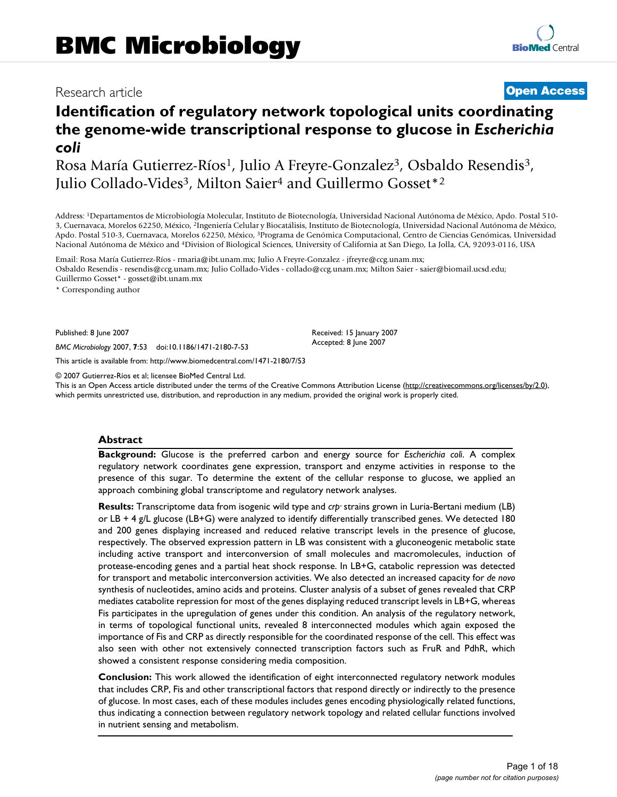# Research article **[Open Access](http://www.biomedcentral.com/info/about/charter/)**

# **Identification of regulatory network topological units coordinating the genome-wide transcriptional response to glucose in** *Escherichia coli*

Rosa María Gutierrez-Ríos<sup>1</sup>, Julio A Freyre-Gonzalez<sup>3</sup>, Osbaldo Resendis<sup>3</sup>, Julio Collado-Vides3, Milton Saier4 and Guillermo Gosset\*2

Address: 1Departamentos de Microbiología Molecular, Instituto de Biotecnología, Universidad Nacional Autónoma de México, Apdo. Postal 510- 3, Cuernavaca, Morelos 62250, México, 2Ingeniería Celular y Biocatálisis, Instituto de Biotecnología, Universidad Nacional Autónoma de México, Apdo. Postal 510-3, Cuernavaca, Morelos 62250, México, 3Programa de Genómica Computacional, Centro de Ciencias Genómicas, Universidad Nacional Autónoma de México and 4Division of Biological Sciences, University of California at San Diego, La Jolla, CA, 92093-0116, USA

Email: Rosa María Gutierrez-Ríos - rmaria@ibt.unam.mx; Julio A Freyre-Gonzalez - jfreyre@ccg.unam.mx; Osbaldo Resendis - resendis@ccg.unam.mx; Julio Collado-Vides - collado@ccg.unam.mx; Milton Saier - saier@biomail.ucsd.edu; Guillermo Gosset\* - gosset@ibt.unam.mx

\* Corresponding author

Published: 8 June 2007

*BMC Microbiology* 2007, **7**:53 doi:10.1186/1471-2180-7-53

[This article is available from: http://www.biomedcentral.com/1471-2180/7/53](http://www.biomedcentral.com/1471-2180/7/53)

© 2007 Gutierrez-Ríos et al; licensee BioMed Central Ltd.

This is an Open Access article distributed under the terms of the Creative Commons Attribution License [\(http://creativecommons.org/licenses/by/2.0\)](http://creativecommons.org/licenses/by/2.0), which permits unrestricted use, distribution, and reproduction in any medium, provided the original work is properly cited.

Received: 15 January 2007 Accepted: 8 June 2007

#### **Abstract**

**Background:** Glucose is the preferred carbon and energy source for *Escherichia coli*. A complex regulatory network coordinates gene expression, transport and enzyme activities in response to the presence of this sugar. To determine the extent of the cellular response to glucose, we applied an approach combining global transcriptome and regulatory network analyses.

**Results:** Transcriptome data from isogenic wild type and *crp*- strains grown in Luria-Bertani medium (LB) or LB + 4 g/L glucose (LB+G) were analyzed to identify differentially transcribed genes. We detected 180 and 200 genes displaying increased and reduced relative transcript levels in the presence of glucose, respectively. The observed expression pattern in LB was consistent with a gluconeogenic metabolic state including active transport and interconversion of small molecules and macromolecules, induction of protease-encoding genes and a partial heat shock response. In LB+G, catabolic repression was detected for transport and metabolic interconversion activities. We also detected an increased capacity for *de novo* synthesis of nucleotides, amino acids and proteins. Cluster analysis of a subset of genes revealed that CRP mediates catabolite repression for most of the genes displaying reduced transcript levels in LB+G, whereas Fis participates in the upregulation of genes under this condition. An analysis of the regulatory network, in terms of topological functional units, revealed 8 interconnected modules which again exposed the importance of Fis and CRP as directly responsible for the coordinated response of the cell. This effect was also seen with other not extensively connected transcription factors such as FruR and PdhR, which showed a consistent response considering media composition.

**Conclusion:** This work allowed the identification of eight interconnected regulatory network modules that includes CRP, Fis and other transcriptional factors that respond directly or indirectly to the presence of glucose. In most cases, each of these modules includes genes encoding physiologically related functions, thus indicating a connection between regulatory network topology and related cellular functions involved in nutrient sensing and metabolism.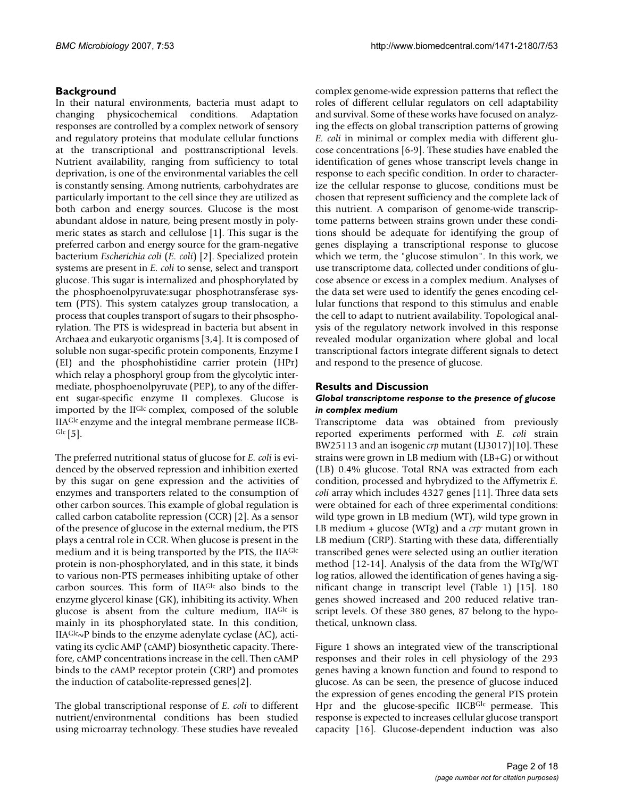# **Background**

In their natural environments, bacteria must adapt to changing physicochemical conditions. Adaptation responses are controlled by a complex network of sensory and regulatory proteins that modulate cellular functions at the transcriptional and posttranscriptional levels. Nutrient availability, ranging from sufficiency to total deprivation, is one of the environmental variables the cell is constantly sensing. Among nutrients, carbohydrates are particularly important to the cell since they are utilized as both carbon and energy sources. Glucose is the most abundant aldose in nature, being present mostly in polymeric states as starch and cellulose [1]. This sugar is the preferred carbon and energy source for the gram-negative bacterium *Escherichia coli* (*E. coli*) [2]. Specialized protein systems are present in *E. coli* to sense, select and transport glucose. This sugar is internalized and phosphorylated by the phosphoenolpyruvate:sugar phosphotransferase system (PTS). This system catalyzes group translocation, a process that couples transport of sugars to their phsosphorylation. The PTS is widespread in bacteria but absent in Archaea and eukaryotic organisms [3,4]. It is composed of soluble non sugar-specific protein components, Enzyme I (EI) and the phosphohistidine carrier protein (HPr) which relay a phosphoryl group from the glycolytic intermediate, phosphoenolpyruvate (PEP), to any of the different sugar-specific enzyme II complexes. Glucose is imported by the II<sup>Glc</sup> complex, composed of the soluble IIA<sup>Glc</sup> enzyme and the integral membrane permease IICB-Glc  $[5]$ .

The preferred nutritional status of glucose for *E. coli* is evidenced by the observed repression and inhibition exerted by this sugar on gene expression and the activities of enzymes and transporters related to the consumption of other carbon sources. This example of global regulation is called carbon catabolite repression (CCR) [2]. As a sensor of the presence of glucose in the external medium, the PTS plays a central role in CCR. When glucose is present in the medium and it is being transported by the PTS, the IIAGlc protein is non-phosphorylated, and in this state, it binds to various non-PTS permeases inhibiting uptake of other carbon sources. This form of IIAGlc also binds to the enzyme glycerol kinase (GK), inhibiting its activity. When glucose is absent from the culture medium, IIAGlc is mainly in its phosphorylated state. In this condition,  $IIA<sup>Glc</sup>~P$  binds to the enzyme adenylate cyclase (AC), activating its cyclic AMP (cAMP) biosynthetic capacity. Therefore, cAMP concentrations increase in the cell. Then cAMP binds to the cAMP receptor protein (CRP) and promotes the induction of catabolite-repressed genes[2].

The global transcriptional response of *E. coli* to different nutrient/environmental conditions has been studied using microarray technology. These studies have revealed

complex genome-wide expression patterns that reflect the roles of different cellular regulators on cell adaptability and survival. Some of these works have focused on analyzing the effects on global transcription patterns of growing *E. coli* in minimal or complex media with different glucose concentrations [6-9]. These studies have enabled the identification of genes whose transcript levels change in response to each specific condition. In order to characterize the cellular response to glucose, conditions must be chosen that represent sufficiency and the complete lack of this nutrient. A comparison of genome-wide transcriptome patterns between strains grown under these conditions should be adequate for identifying the group of genes displaying a transcriptional response to glucose which we term, the "glucose stimulon". In this work, we use transcriptome data, collected under conditions of glucose absence or excess in a complex medium. Analyses of the data set were used to identify the genes encoding cellular functions that respond to this stimulus and enable the cell to adapt to nutrient availability. Topological analysis of the regulatory network involved in this response revealed modular organization where global and local transcriptional factors integrate different signals to detect and respond to the presence of glucose.

# **Results and Discussion**

#### *Global transcriptome response to the presence of glucose in complex medium*

Transcriptome data was obtained from previously reported experiments performed with *E. coli* strain BW25113 and an isogenic *crp* mutant (LJ3017)[10]. These strains were grown in LB medium with (LB+G) or without (LB) 0.4% glucose. Total RNA was extracted from each condition, processed and hybrydized to the Affymetrix *E. coli* array which includes 4327 genes [11]. Three data sets were obtained for each of three experimental conditions: wild type grown in LB medium (WT), wild type grown in LB medium + glucose (WTg) and a *crp*- mutant grown in LB medium (CRP). Starting with these data, differentially transcribed genes were selected using an outlier iteration method [12-14]. Analysis of the data from the WTg/WT log ratios, allowed the identification of genes having a significant change in transcript level (Table 1) [15]. 180 genes showed increased and 200 reduced relative transcript levels. Of these 380 genes, 87 belong to the hypothetical, unknown class.

Figure 1 shows an integrated view of the transcriptional responses and their roles in cell physiology of the 293 genes having a known function and found to respond to glucose. As can be seen, the presence of glucose induced the expression of genes encoding the general PTS protein Hpr and the glucose-specific IICBGlc permease. This response is expected to increases cellular glucose transport capacity [16]. Glucose-dependent induction was also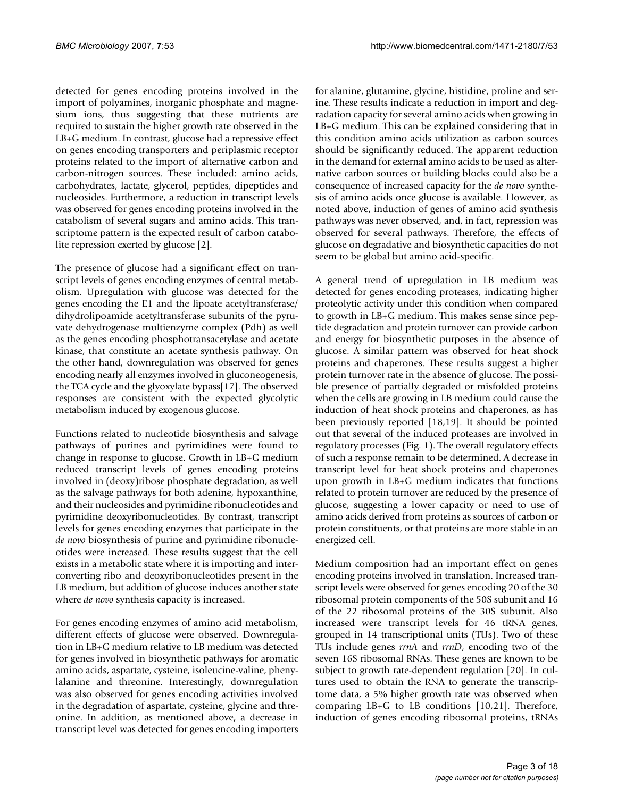detected for genes encoding proteins involved in the import of polyamines, inorganic phosphate and magnesium ions, thus suggesting that these nutrients are required to sustain the higher growth rate observed in the LB+G medium. In contrast, glucose had a repressive effect on genes encoding transporters and periplasmic receptor proteins related to the import of alternative carbon and carbon-nitrogen sources. These included: amino acids, carbohydrates, lactate, glycerol, peptides, dipeptides and nucleosides. Furthermore, a reduction in transcript levels was observed for genes encoding proteins involved in the catabolism of several sugars and amino acids. This transcriptome pattern is the expected result of carbon catabolite repression exerted by glucose [2].

The presence of glucose had a significant effect on transcript levels of genes encoding enzymes of central metabolism. Upregulation with glucose was detected for the genes encoding the E1 and the lipoate acetyltransferase/ dihydrolipoamide acetyltransferase subunits of the pyruvate dehydrogenase multienzyme complex (Pdh) as well as the genes encoding phosphotransacetylase and acetate kinase, that constitute an acetate synthesis pathway. On the other hand, downregulation was observed for genes encoding nearly all enzymes involved in gluconeogenesis, the TCA cycle and the glyoxylate bypass[17]. The observed responses are consistent with the expected glycolytic metabolism induced by exogenous glucose.

Functions related to nucleotide biosynthesis and salvage pathways of purines and pyrimidines were found to change in response to glucose. Growth in LB+G medium reduced transcript levels of genes encoding proteins involved in (deoxy)ribose phosphate degradation, as well as the salvage pathways for both adenine, hypoxanthine, and their nucleosides and pyrimidine ribonucleotides and pyrimidine deoxyribonucleotides. By contrast, transcript levels for genes encoding enzymes that participate in the *de novo* biosynthesis of purine and pyrimidine ribonucleotides were increased. These results suggest that the cell exists in a metabolic state where it is importing and interconverting ribo and deoxyribonucleotides present in the LB medium, but addition of glucose induces another state where *de novo* synthesis capacity is increased.

For genes encoding enzymes of amino acid metabolism, different effects of glucose were observed. Downregulation in LB+G medium relative to LB medium was detected for genes involved in biosynthetic pathways for aromatic amino acids, aspartate, cysteine, isoleucine-valine, phenylalanine and threonine. Interestingly, downregulation was also observed for genes encoding activities involved in the degradation of aspartate, cysteine, glycine and threonine. In addition, as mentioned above, a decrease in transcript level was detected for genes encoding importers

for alanine, glutamine, glycine, histidine, proline and serine. These results indicate a reduction in import and degradation capacity for several amino acids when growing in LB+G medium. This can be explained considering that in this condition amino acids utilization as carbon sources should be significantly reduced. The apparent reduction in the demand for external amino acids to be used as alternative carbon sources or building blocks could also be a consequence of increased capacity for the *de novo* synthesis of amino acids once glucose is available. However, as noted above, induction of genes of amino acid synthesis pathways was never observed, and, in fact, repression was observed for several pathways. Therefore, the effects of glucose on degradative and biosynthetic capacities do not seem to be global but amino acid-specific.

A general trend of upregulation in LB medium was detected for genes encoding proteases, indicating higher proteolytic activity under this condition when compared to growth in LB+G medium. This makes sense since peptide degradation and protein turnover can provide carbon and energy for biosynthetic purposes in the absence of glucose. A similar pattern was observed for heat shock proteins and chaperones. These results suggest a higher protein turnover rate in the absence of glucose. The possible presence of partially degraded or misfolded proteins when the cells are growing in LB medium could cause the induction of heat shock proteins and chaperones, as has been previously reported [18,19]. It should be pointed out that several of the induced proteases are involved in regulatory processes (Fig. 1). The overall regulatory effects of such a response remain to be determined. A decrease in transcript level for heat shock proteins and chaperones upon growth in LB+G medium indicates that functions related to protein turnover are reduced by the presence of glucose, suggesting a lower capacity or need to use of amino acids derived from proteins as sources of carbon or protein constituents, or that proteins are more stable in an energized cell.

Medium composition had an important effect on genes encoding proteins involved in translation. Increased transcript levels were observed for genes encoding 20 of the 30 ribosomal protein components of the 50S subunit and 16 of the 22 ribosomal proteins of the 30S subunit. Also increased were transcript levels for 46 tRNA genes, grouped in 14 transcriptional units (TUs). Two of these TUs include genes *rrnA* and *rrnD*, encoding two of the seven 16S ribosomal RNAs. These genes are known to be subject to growth rate-dependent regulation [20]. In cultures used to obtain the RNA to generate the transcriptome data, a 5% higher growth rate was observed when comparing LB+G to LB conditions [10,21]. Therefore, induction of genes encoding ribosomal proteins, tRNAs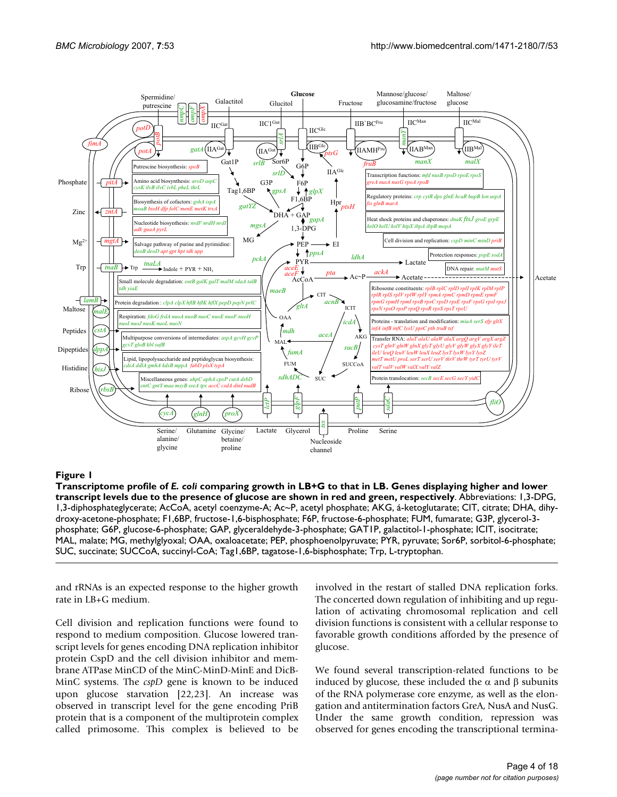

#### due to the presence of glucose are **Figure 1** Transcriptome profile of *E. coli* comparing growth in LB+G to th shown in red and green, respectively at in LB. Genes displaying higher and lower transcript levels

**Transcriptome profile of** *E. coli* **comparing growth in LB+G to that in LB. Genes displaying higher and lower transcript levels due to the presence of glucose are shown in red and green, respectively**. Abbreviations: 1,3-DPG, 1,3-diphosphateglycerate; AcCoA, acetyl coenzyme-A; Ac~P, acetyl phosphate; AKG, á-ketoglutarate; CIT, citrate; DHA, dihydroxy-acetone-phosphate; F1,6BP, fructose-1,6-bisphosphate; F6P, fructose-6-phosphate; FUM, fumarate; G3P, glycerol-3 phosphate; G6P, glucose-6-phosphate; GAP, glyceraldehyde-3-phosphate; GAT1P, galactitol-1-phosphate; ICIT, isocitrate; MAL, malate; MG, methylglyoxal; OAA, oxaloacetate; PEP, phosphoenolpyruvate; PYR, pyruvate; Sor6P, sorbitol-6-phosphate; SUC, succinate; SUCCoA, succinyl-CoA; Tag1,6BP, tagatose-1,6-bisphosphate; Trp, L-tryptophan.

and rRNAs is an expected response to the higher growth rate in LB+G medium.

Cell division and replication functions were found to respond to medium composition. Glucose lowered transcript levels for genes encoding DNA replication inhibitor protein CspD and the cell division inhibitor and membrane ATPase MinCD of the MinC-MinD-MinE and DicB-MinC systems. The *cspD* gene is known to be induced upon glucose starvation [22,23]. An increase was observed in transcript level for the gene encoding PriB protein that is a component of the multiprotein complex called primosome. This complex is believed to be involved in the restart of stalled DNA replication forks. The concerted down regulation of inhibiting and up regulation of activating chromosomal replication and cell division functions is consistent with a cellular response to favorable growth conditions afforded by the presence of glucose.

We found several transcription-related functions to be induced by glucose, these included the α and β subunits of the RNA polymerase core enzyme, as well as the elongation and antitermination factors GreA, NusA and NusG. Under the same growth condition, repression was observed for genes encoding the transcriptional termina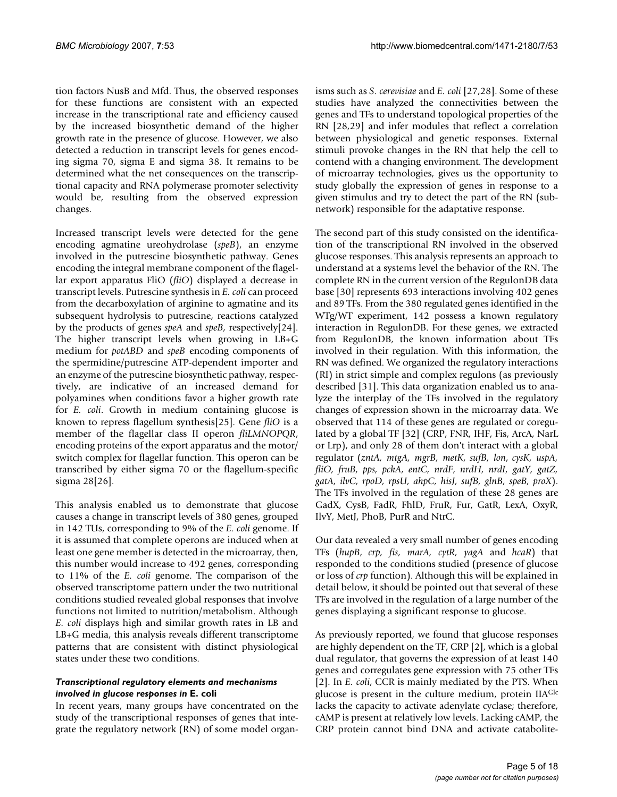tion factors NusB and Mfd. Thus, the observed responses for these functions are consistent with an expected increase in the transcriptional rate and efficiency caused by the increased biosynthetic demand of the higher growth rate in the presence of glucose. However, we also detected a reduction in transcript levels for genes encoding sigma 70, sigma E and sigma 38. It remains to be determined what the net consequences on the transcriptional capacity and RNA polymerase promoter selectivity would be, resulting from the observed expression changes.

Increased transcript levels were detected for the gene encoding agmatine ureohydrolase (*speB*), an enzyme involved in the putrescine biosynthetic pathway. Genes encoding the integral membrane component of the flagellar export apparatus FliO (*fliO*) displayed a decrease in transcript levels. Putrescine synthesis in *E. coli* can proceed from the decarboxylation of arginine to agmatine and its subsequent hydrolysis to putrescine, reactions catalyzed by the products of genes *speA* and *speB*, respectively[24]. The higher transcript levels when growing in LB+G medium for *potABD* and *speB* encoding components of the spermidine/putrescine ATP-dependent importer and an enzyme of the putrescine biosynthetic pathway, respectively, are indicative of an increased demand for polyamines when conditions favor a higher growth rate for *E. coli*. Growth in medium containing glucose is known to repress flagellum synthesis[25]. Gene *fliO* is a member of the flagellar class II operon *fliLMNOPQR*, encoding proteins of the export apparatus and the motor/ switch complex for flagellar function. This operon can be transcribed by either sigma 70 or the flagellum-specific sigma 28[26].

This analysis enabled us to demonstrate that glucose causes a change in transcript levels of 380 genes, grouped in 142 TUs, corresponding to 9% of the *E. coli* genome. If it is assumed that complete operons are induced when at least one gene member is detected in the microarray, then, this number would increase to 492 genes, corresponding to 11% of the *E. coli* genome. The comparison of the observed transcriptome pattern under the two nutritional conditions studied revealed global responses that involve functions not limited to nutrition/metabolism. Although *E. coli* displays high and similar growth rates in LB and LB+G media, this analysis reveals different transcriptome patterns that are consistent with distinct physiological states under these two conditions.

# *Transcriptional regulatory elements and mechanisms involved in glucose responses in* **E. coli**

In recent years, many groups have concentrated on the study of the transcriptional responses of genes that integrate the regulatory network (RN) of some model organisms such as *S. cerevisiae* and *E. coli* [27,28]. Some of these studies have analyzed the connectivities between the genes and TFs to understand topological properties of the RN [28,29] and infer modules that reflect a correlation between physiological and genetic responses. External stimuli provoke changes in the RN that help the cell to contend with a changing environment. The development of microarray technologies, gives us the opportunity to study globally the expression of genes in response to a given stimulus and try to detect the part of the RN (subnetwork) responsible for the adaptative response.

The second part of this study consisted on the identification of the transcriptional RN involved in the observed glucose responses. This analysis represents an approach to understand at a systems level the behavior of the RN. The complete RN in the current version of the RegulonDB data base [30] represents 693 interactions involving 402 genes and 89 TFs. From the 380 regulated genes identified in the WTg/WT experiment, 142 possess a known regulatory interaction in RegulonDB. For these genes, we extracted from RegulonDB, the known information about TFs involved in their regulation. With this information, the RN was defined. We organized the regulatory interactions (RI) in strict simple and complex regulons (as previously described [31]. This data organization enabled us to analyze the interplay of the TFs involved in the regulatory changes of expression shown in the microarray data. We observed that 114 of these genes are regulated or coregulated by a global TF [32] (CRP, FNR, IHF, Fis, ArcA, NarL or Lrp), and only 28 of them don't interact with a global regulator (*zntA, mtgA, mgrB, metK*, *sufB, lon*, *cysK, uspA, fliO, fruB, pps, pckA, entC, nrdF, nrdH, nrdI, gatY, gatZ, gatA, ilvC, rpoD, rpsU, ahpC, hisJ, sufB, glnB, speB, proX*). The TFs involved in the regulation of these 28 genes are GadX, CysB, FadR, FhlD, FruR, Fur, GatR, LexA, OxyR, IlvY, MetJ, PhoB, PurR and NtrC.

Our data revealed a very small number of genes encoding TFs (*hupB*, *crp, fis, marA, cytR, yagA* and *hcaR*) that responded to the conditions studied (presence of glucose or loss of *crp* function). Although this will be explained in detail below, it should be pointed out that several of these TFs are involved in the regulation of a large number of the genes displaying a significant response to glucose.

As previously reported, we found that glucose responses are highly dependent on the TF, CRP [2], which is a global dual regulator, that governs the expression of at least 140 genes and corregulates gene expression with 75 other TFs [2]. In *E. coli*, CCR is mainly mediated by the PTS. When glucose is present in the culture medium, protein IIAGlc lacks the capacity to activate adenylate cyclase; therefore, cAMP is present at relatively low levels. Lacking cAMP, the CRP protein cannot bind DNA and activate catabolite-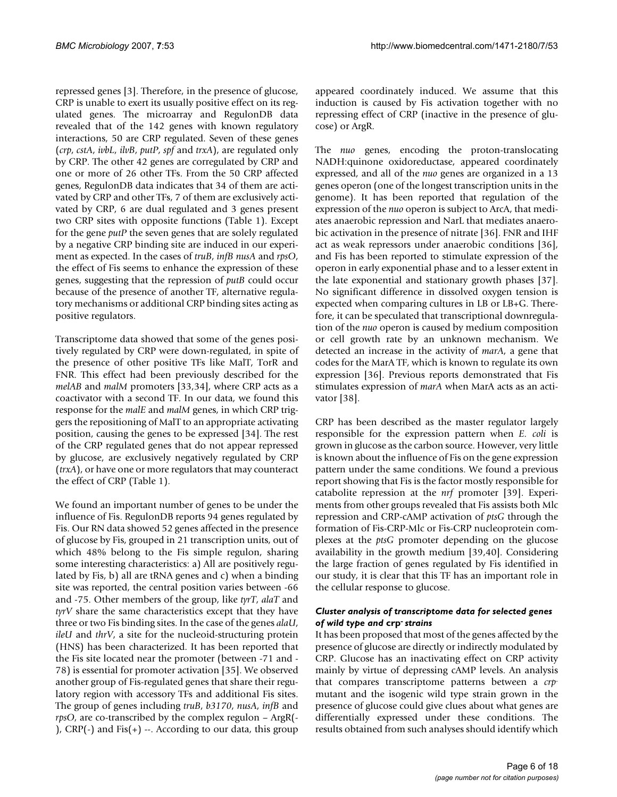repressed genes [3]. Therefore, in the presence of glucose, CRP is unable to exert its usually positive effect on its regulated genes. The microarray and RegulonDB data revealed that of the 142 genes with known regulatory interactions, 50 are CRP regulated. Seven of these genes (*crp*, *cstA*, *ivbL*, *ilvB*, *putP*, *spf* and *trxA*), are regulated only by CRP. The other 42 genes are corregulated by CRP and one or more of 26 other TFs. From the 50 CRP affected genes, RegulonDB data indicates that 34 of them are activated by CRP and other TFs, 7 of them are exclusively activated by CRP, 6 are dual regulated and 3 genes present two CRP sites with opposite functions (Table 1). Except for the gene *putP* the seven genes that are solely regulated by a negative CRP binding site are induced in our experiment as expected. In the cases of *truB*, *infB nusA* and *rpsO*, the effect of Fis seems to enhance the expression of these genes, suggesting that the repression of *putB* could occur because of the presence of another TF, alternative regulatory mechanisms or additional CRP binding sites acting as positive regulators.

Transcriptome data showed that some of the genes positively regulated by CRP were down-regulated, in spite of the presence of other positive TFs like MalT, TorR and FNR. This effect had been previously described for the *melAB* and *malM* promoters [33,34], where CRP acts as a coactivator with a second TF. In our data, we found this response for the *malE* and *malM* genes, in which CRP triggers the repositioning of MalT to an appropriate activating position, causing the genes to be expressed [34]. The rest of the CRP regulated genes that do not appear repressed by glucose, are exclusively negatively regulated by CRP (*trxA*), or have one or more regulators that may counteract the effect of CRP (Table 1).

We found an important number of genes to be under the influence of Fis. RegulonDB reports 94 genes regulated by Fis. Our RN data showed 52 genes affected in the presence of glucose by Fis, grouped in 21 transcription units, out of which 48% belong to the Fis simple regulon, sharing some interesting characteristics: a) All are positively regulated by Fis, b) all are tRNA genes and c) when a binding site was reported, the central position varies between -66 and -75. Other members of the group, like *tyrT*, *alaT* and *tyrV* share the same characteristics except that they have three or two Fis binding sites. In the case of the genes *alaU*, *ileU* and *thrV*, a site for the nucleoid-structuring protein (HNS) has been characterized. It has been reported that the Fis site located near the promoter (between -71 and - 78) is essential for promoter activation [35]. We observed another group of Fis-regulated genes that share their regulatory region with accessory TFs and additional Fis sites. The group of genes including *truB*, *b3170*, *nusA*, *infB* and *rpsO*, are co-transcribed by the complex regulon – ArgR(- ),  $CRP(-)$  and  $Fis(+)$  --. According to our data, this group appeared coordinately induced. We assume that this induction is caused by Fis activation together with no repressing effect of CRP (inactive in the presence of glucose) or ArgR.

The *nuo* genes, encoding the proton-translocating NADH:quinone oxidoreductase, appeared coordinately expressed, and all of the *nuo* genes are organized in a 13 genes operon (one of the longest transcription units in the genome). It has been reported that regulation of the expression of the *nuo* operon is subject to ArcA, that mediates anaerobic repression and NarL that mediates anaerobic activation in the presence of nitrate [36]. FNR and IHF act as weak repressors under anaerobic conditions [36], and Fis has been reported to stimulate expression of the operon in early exponential phase and to a lesser extent in the late exponential and stationary growth phases [37]. No significant difference in dissolved oxygen tension is expected when comparing cultures in LB or LB+G. Therefore, it can be speculated that transcriptional downregulation of the *nuo* operon is caused by medium composition or cell growth rate by an unknown mechanism. We detected an increase in the activity of *marA*, a gene that codes for the MarA TF, which is known to regulate its own expression [36]. Previous reports demonstrated that Fis stimulates expression of *marA* when MarA acts as an activator [38].

CRP has been described as the master regulator largely responsible for the expression pattern when *E. coli* is grown in glucose as the carbon source. However, very little is known about the influence of Fis on the gene expression pattern under the same conditions. We found a previous report showing that Fis is the factor mostly responsible for catabolite repression at the *nrf* promoter [39]. Experiments from other groups revealed that Fis assists both Mlc repression and CRP-cAMP activation of *ptsG* through the formation of Fis-CRP-Mlc or Fis-CRP nucleoprotein complexes at the *ptsG* promoter depending on the glucose availability in the growth medium [39,40]. Considering the large fraction of genes regulated by Fis identified in our study, it is clear that this TF has an important role in the cellular response to glucose.

#### *Cluster analysis of transcriptome data for selected genes of wild type and* **crp***- strains*

It has been proposed that most of the genes affected by the presence of glucose are directly or indirectly modulated by CRP. Glucose has an inactivating effect on CRP activity mainly by virtue of depressing cAMP levels. An analysis that compares transcriptome patterns between a *crp*mutant and the isogenic wild type strain grown in the presence of glucose could give clues about what genes are differentially expressed under these conditions. The results obtained from such analyses should identify which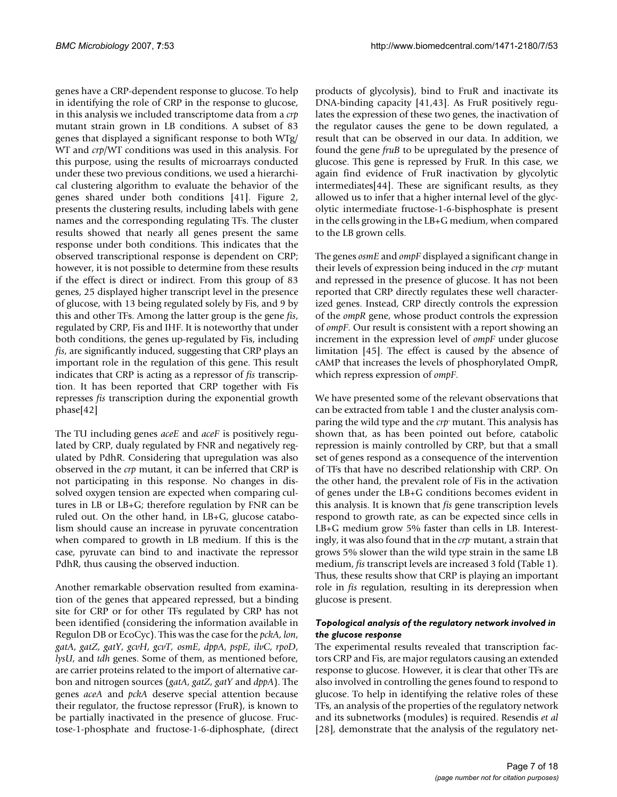genes have a CRP-dependent response to glucose. To help in identifying the role of CRP in the response to glucose, in this analysis we included transcriptome data from a *crp* mutant strain grown in LB conditions. A subset of 83 genes that displayed a significant response to both WTg/ WT and *crp*/WT conditions was used in this analysis. For this purpose, using the results of microarrays conducted under these two previous conditions, we used a hierarchical clustering algorithm to evaluate the behavior of the genes shared under both conditions [41]. Figure 2, presents the clustering results, including labels with gene names and the corresponding regulating TFs. The cluster results showed that nearly all genes present the same response under both conditions. This indicates that the observed transcriptional response is dependent on CRP; however, it is not possible to determine from these results if the effect is direct or indirect. From this group of 83 genes, 25 displayed higher transcript level in the presence of glucose, with 13 being regulated solely by Fis, and 9 by this and other TFs. Among the latter group is the gene *fis*, regulated by CRP, Fis and IHF. It is noteworthy that under both conditions, the genes up-regulated by Fis, including *fis*, are significantly induced, suggesting that CRP plays an important role in the regulation of this gene. This result indicates that CRP is acting as a repressor of *fis* transcription. It has been reported that CRP together with Fis represses *fis* transcription during the exponential growth phase[42]

The TU including genes *aceE* and *aceF* is positively regulated by CRP, dualy regulated by FNR and negatively regulated by PdhR. Considering that upregulation was also observed in the *crp* mutant, it can be inferred that CRP is not participating in this response. No changes in dissolved oxygen tension are expected when comparing cultures in LB or LB+G; therefore regulation by FNR can be ruled out. On the other hand, in LB+G, glucose catabolism should cause an increase in pyruvate concentration when compared to growth in LB medium. If this is the case, pyruvate can bind to and inactivate the repressor PdhR, thus causing the observed induction.

Another remarkable observation resulted from examination of the genes that appeared repressed, but a binding site for CRP or for other TFs regulated by CRP has not been identified (considering the information available in Regulon DB or EcoCyc). This was the case for the *pckA*, *lon*, *gatA*, *gatZ*, *gatY*, *gcvH*, *gcvT, osmE*, *dppA*, *pspE*, *ilvC*, *rpoD*, *lysU*, and *tdh* genes. Some of them, as mentioned before, are carrier proteins related to the import of alternative carbon and nitrogen sources (*gatA*, *gatZ*, *gatY* and *dppA*). The genes *aceA* and *pckA* deserve special attention because their regulator, the fructose repressor (FruR), is known to be partially inactivated in the presence of glucose. Fructose-1-phosphate and fructose-1-6-diphosphate, (direct products of glycolysis), bind to FruR and inactivate its DNA-binding capacity [41,43]. As FruR positively regulates the expression of these two genes, the inactivation of the regulator causes the gene to be down regulated, a result that can be observed in our data. In addition, we found the gene *fruB* to be upregulated by the presence of glucose. This gene is repressed by FruR. In this case, we again find evidence of FruR inactivation by glycolytic intermediates[44]. These are significant results, as they allowed us to infer that a higher internal level of the glycolytic intermediate fructose-1-6-bisphosphate is present in the cells growing in the LB+G medium, when compared to the LB grown cells.

The genes *osmE* and *ompF* displayed a significant change in their levels of expression being induced in the *crp*- mutant and repressed in the presence of glucose. It has not been reported that CRP directly regulates these well characterized genes. Instead, CRP directly controls the expression of the *ompR* gene, whose product controls the expression of *ompF*. Our result is consistent with a report showing an increment in the expression level of *ompF* under glucose limitation [45]. The effect is caused by the absence of cAMP that increases the levels of phosphorylated OmpR, which repress expression of *ompF*.

We have presented some of the relevant observations that can be extracted from table 1 and the cluster analysis comparing the wild type and the *crp*- mutant. This analysis has shown that, as has been pointed out before, catabolic repression is mainly controlled by CRP, but that a small set of genes respond as a consequence of the intervention of TFs that have no described relationship with CRP. On the other hand, the prevalent role of Fis in the activation of genes under the LB+G conditions becomes evident in this analysis. It is known that *fis* gene transcription levels respond to growth rate, as can be expected since cells in LB+G medium grow 5% faster than cells in LB. Interestingly, it was also found that in the *crp*- mutant, a strain that grows 5% slower than the wild type strain in the same LB medium, *fis* transcript levels are increased 3 fold (Table 1). Thus, these results show that CRP is playing an important role in *fis* regulation, resulting in its derepression when glucose is present.

# *Topological analysis of the regulatory network involved in the glucose response*

The experimental results revealed that transcription factors CRP and Fis, are major regulators causing an extended response to glucose. However, it is clear that other TFs are also involved in controlling the genes found to respond to glucose. To help in identifying the relative roles of these TFs, an analysis of the properties of the regulatory network and its subnetworks (modules) is required. Resendis *et al* [28], demonstrate that the analysis of the regulatory net-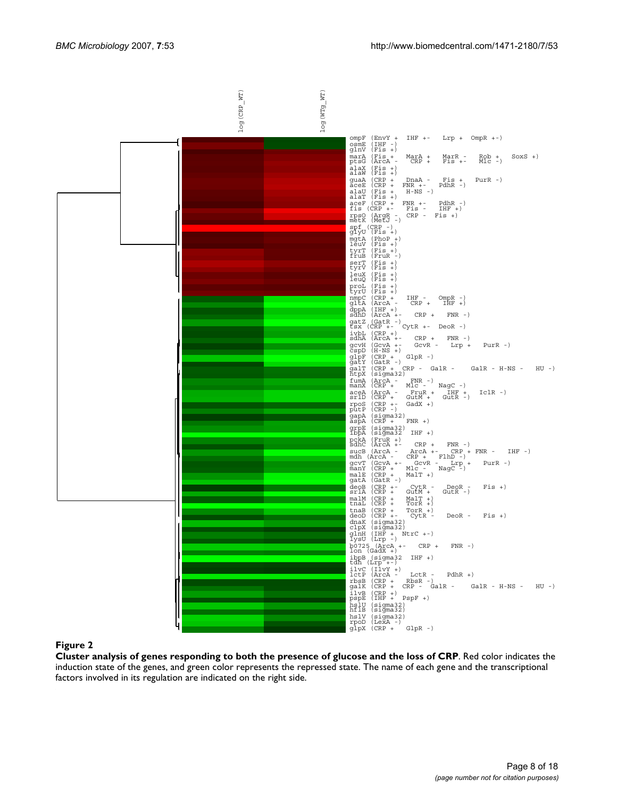

#### **Figure 2** Cluster analysis of genes responding to both the presence of glucose and the loss of CRP

**Cluster analysis of genes responding to both the presence of glucose and the loss of CRP**. Red color indicates the induction state of the genes, and green color represents the repressed state. The name of each gene and the transcriptional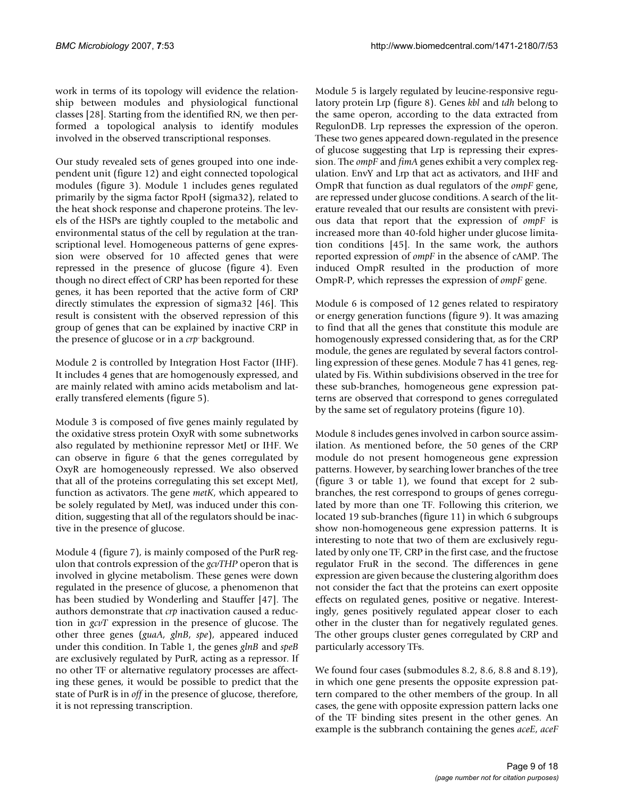work in terms of its topology will evidence the relationship between modules and physiological functional classes [28]. Starting from the identified RN, we then performed a topological analysis to identify modules involved in the observed transcriptional responses.

Our study revealed sets of genes grouped into one independent unit (figure 12) and eight connected topological modules (figure 3). Module 1 includes genes regulated primarily by the sigma factor RpoH (sigma32), related to the heat shock response and chaperone proteins. The levels of the HSPs are tightly coupled to the metabolic and environmental status of the cell by regulation at the transcriptional level. Homogeneous patterns of gene expression were observed for 10 affected genes that were repressed in the presence of glucose (figure 4). Even though no direct effect of CRP has been reported for these genes, it has been reported that the active form of CRP directly stimulates the expression of sigma32 [46]. This result is consistent with the observed repression of this group of genes that can be explained by inactive CRP in the presence of glucose or in a *crp*- background.

Module 2 is controlled by Integration Host Factor (IHF). It includes 4 genes that are homogenously expressed, and are mainly related with amino acids metabolism and laterally transfered elements (figure 5).

Module 3 is composed of five genes mainly regulated by the oxidative stress protein OxyR with some subnetworks also regulated by methionine repressor MetJ or IHF. We can observe in figure 6 that the genes corregulated by OxyR are homogeneously repressed. We also observed that all of the proteins corregulating this set except MetJ, function as activators. The gene *metK*, which appeared to be solely regulated by MetJ, was induced under this condition, suggesting that all of the regulators should be inactive in the presence of glucose.

Module 4 (figure 7), is mainly composed of the PurR regulon that controls expression of the *gcvTHP* operon that is involved in glycine metabolism. These genes were down regulated in the presence of glucose, a phenomenon that has been studied by Wonderling and Stauffer [47]. The authors demonstrate that *crp* inactivation caused a reduction in *gcvT* expression in the presence of glucose. The other three genes (*guaA*, *glnB*, *spe*), appeared induced under this condition. In Table 1, the genes *glnB* and *speB* are exclusively regulated by PurR, acting as a repressor. If no other TF or alternative regulatory processes are affecting these genes, it would be possible to predict that the state of PurR is in *off* in the presence of glucose, therefore, it is not repressing transcription.

Module 5 is largely regulated by leucine-responsive regulatory protein Lrp (figure 8). Genes *kbl* and *tdh* belong to the same operon, according to the data extracted from RegulonDB. Lrp represses the expression of the operon. These two genes appeared down-regulated in the presence of glucose suggesting that Lrp is repressing their expression. The *ompF* and *fimA* genes exhibit a very complex regulation. EnvY and Lrp that act as activators, and IHF and OmpR that function as dual regulators of the *ompF* gene, are repressed under glucose conditions. A search of the literature revealed that our results are consistent with previous data that report that the expression of *ompF* is increased more than 40-fold higher under glucose limitation conditions [45]. In the same work, the authors reported expression of *ompF* in the absence of cAMP. The induced OmpR resulted in the production of more OmpR-P, which represses the expression of *ompF* gene.

Module 6 is composed of 12 genes related to respiratory or energy generation functions (figure 9). It was amazing to find that all the genes that constitute this module are homogenously expressed considering that, as for the CRP module, the genes are regulated by several factors controlling expression of these genes. Module 7 has 41 genes, regulated by Fis. Within subdivisions observed in the tree for these sub-branches, homogeneous gene expression patterns are observed that correspond to genes corregulated by the same set of regulatory proteins (figure 10).

Module 8 includes genes involved in carbon source assimilation. As mentioned before, the 50 genes of the CRP module do not present homogeneous gene expression patterns. However, by searching lower branches of the tree (figure 3 or table 1), we found that except for 2 subbranches, the rest correspond to groups of genes corregulated by more than one TF. Following this criterion, we located 19 sub-branches (figure 11) in which 6 subgroups show non-homogeneous gene expression patterns. It is interesting to note that two of them are exclusively regulated by only one TF, CRP in the first case, and the fructose regulator FruR in the second. The differences in gene expression are given because the clustering algorithm does not consider the fact that the proteins can exert opposite effects on regulated genes, positive or negative. Interestingly, genes positively regulated appear closer to each other in the cluster than for negatively regulated genes. The other groups cluster genes corregulated by CRP and particularly accessory TFs.

We found four cases (submodules 8.2, 8.6, 8.8 and 8.19), in which one gene presents the opposite expression pattern compared to the other members of the group. In all cases, the gene with opposite expression pattern lacks one of the TF binding sites present in the other genes. An example is the subbranch containing the genes *aceE*, *aceF*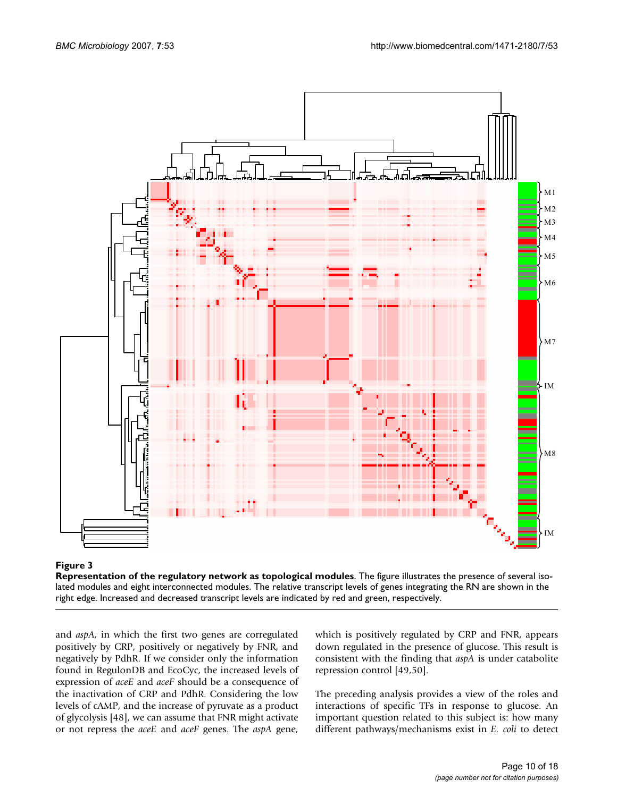

**Representation of the regulatory network as topological modules**. The figure illustrates the presence of several isolated modules and eight interconnected modules. The relative transcript levels of genes integrating the RN are shown in the right edge. Increased and decreased transcript levels are indicated by red and green, respectively.

and *aspA*, in which the first two genes are corregulated positively by CRP, positively or negatively by FNR, and negatively by PdhR. If we consider only the information found in RegulonDB and EcoCyc, the increased levels of expression of *aceE* and *aceF* should be a consequence of the inactivation of CRP and PdhR. Considering the low levels of cAMP, and the increase of pyruvate as a product of glycolysis [48], we can assume that FNR might activate or not repress the *aceE* and *aceF* genes. The *aspA* gene, which is positively regulated by CRP and FNR, appears down regulated in the presence of glucose. This result is consistent with the finding that *aspA* is under catabolite repression control [49,50].

The preceding analysis provides a view of the roles and interactions of specific TFs in response to glucose. An important question related to this subject is: how many different pathways/mechanisms exist in *E. coli* to detect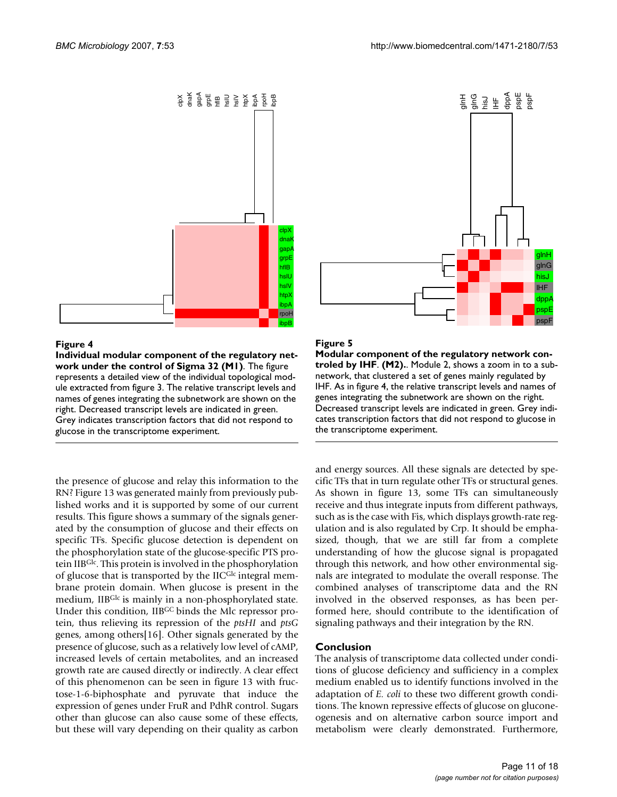

**Individual modular component of the regulatory network under the control of Sigma 32 (M1)**. The figure represents a detailed view of the individual topological module extracted from figure 3. The relative transcript levels and names of genes integrating the subnetwork are shown on the right. Decreased transcript levels are indicated in green. Grey indicates transcription factors that did not respond to

the presence of glucose and relay this information to the RN? Figure 13 was generated mainly from previously published works and it is supported by some of our current results. This figure shows a summary of the signals generated by the consumption of glucose and their effects on specific TFs. Specific glucose detection is dependent on the phosphorylation state of the glucose-specific PTS protein IIBGlc. This protein is involved in the phosphorylation of glucose that is transported by the IICGlc integral membrane protein domain. When glucose is present in the medium, IIBGlc is mainly in a non-phosphorylated state. Under this condition, IIBGC binds the Mlc repressor protein, thus relieving its repression of the *ptsHI* and *ptsG* genes, among others[16]. Other signals generated by the presence of glucose, such as a relatively low level of cAMP, increased levels of certain metabolites, and an increased growth rate are caused directly or indirectly. A clear effect of this phenomenon can be seen in figure 13 with fructose-1-6-biphosphate and pyruvate that induce the expression of genes under FruR and PdhR control. Sugars other than glucose can also cause some of these effects, but these will vary depending on their quality as carbon



#### Figure 5

**Modular component of the regulatory network controled by IHF**. **(M2).**. Module 2, shows a zoom in to a subnetwork, that clustered a set of genes mainly regulated by IHF. As in figure 4, the relative transcript levels and names of genes integrating the subnetwork are shown on the right. Decreased transcript levels are indicated in green. Grey indicates transcription factors that did not respond to glucose in the transcriptome experiment.

and energy sources. All these signals are detected by specific TFs that in turn regulate other TFs or structural genes. As shown in figure 13, some TFs can simultaneously receive and thus integrate inputs from different pathways, such as is the case with Fis, which displays growth-rate regulation and is also regulated by Crp. It should be emphasized, though, that we are still far from a complete understanding of how the glucose signal is propagated through this network, and how other environmental signals are integrated to modulate the overall response. The combined analyses of transcriptome data and the RN involved in the observed responses, as has been performed here, should contribute to the identification of signaling pathways and their integration by the RN.

#### **Conclusion**

The analysis of transcriptome data collected under conditions of glucose deficiency and sufficiency in a complex medium enabled us to identify functions involved in the adaptation of *E. coli* to these two different growth conditions. The known repressive effects of glucose on gluconeogenesis and on alternative carbon source import and metabolism were clearly demonstrated. Furthermore,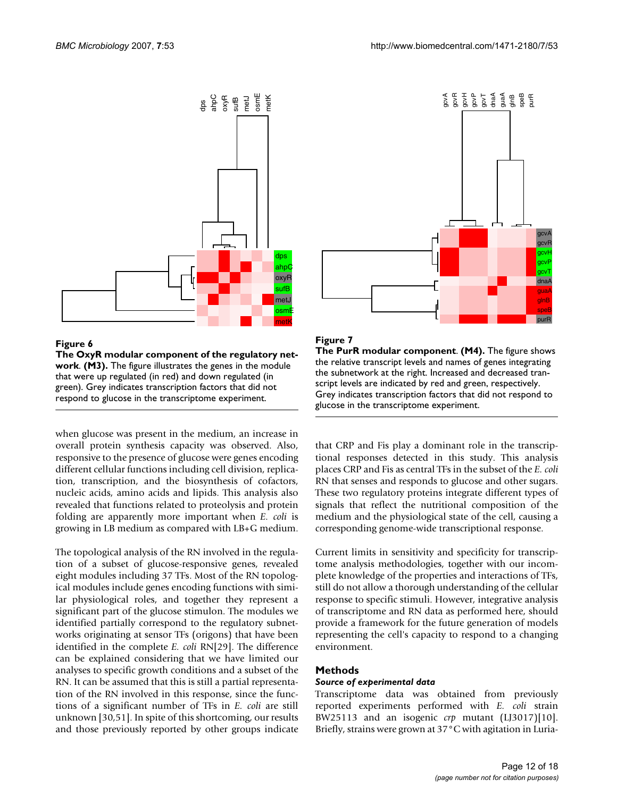

**The OxyR modular component of the regulatory network**. **(M3).** The figure illustrates the genes in the module that were up regulated (in red) and down regulated (in green). Grey indicates transcription factors that did not

when glucose was present in the medium, an increase in overall protein synthesis capacity was observed. Also, responsive to the presence of glucose were genes encoding different cellular functions including cell division, replication, transcription, and the biosynthesis of cofactors, nucleic acids, amino acids and lipids. This analysis also revealed that functions related to proteolysis and protein folding are apparently more important when *E. coli* is growing in LB medium as compared with LB+G medium.

The topological analysis of the RN involved in the regulation of a subset of glucose-responsive genes, revealed eight modules including 37 TFs. Most of the RN topological modules include genes encoding functions with similar physiological roles, and together they represent a significant part of the glucose stimulon. The modules we identified partially correspond to the regulatory subnetworks originating at sensor TFs (origons) that have been identified in the complete *E. coli* RN[29]. The difference can be explained considering that we have limited our analyses to specific growth conditions and a subset of the RN. It can be assumed that this is still a partial representation of the RN involved in this response, since the functions of a significant number of TFs in *E. coli* are still unknown [30,51]. In spite of this shortcoming, our results and those previously reported by other groups indicate



#### **Figure 7**

**The PurR modular component**. **(M4).** The figure shows the relative transcript levels and names of genes integrating the subnetwork at the right. Increased and decreased transcript levels are indicated by red and green, respectively. Grey indicates transcription factors that did not respond to

that CRP and Fis play a dominant role in the transcriptional responses detected in this study. This analysis places CRP and Fis as central TFs in the subset of the *E. coli* RN that senses and responds to glucose and other sugars. These two regulatory proteins integrate different types of signals that reflect the nutritional composition of the medium and the physiological state of the cell, causing a corresponding genome-wide transcriptional response.

Current limits in sensitivity and specificity for transcriptome analysis methodologies, together with our incomplete knowledge of the properties and interactions of TFs, still do not allow a thorough understanding of the cellular response to specific stimuli. However, integrative analysis of transcriptome and RN data as performed here, should provide a framework for the future generation of models representing the cell's capacity to respond to a changing environment.

# **Methods**

# *Source of experimental data*

Transcriptome data was obtained from previously reported experiments performed with *E. coli* strain BW25113 and an isogenic *crp* mutant (LJ3017)[10]. Briefly, strains were grown at 37°C with agitation in Luria-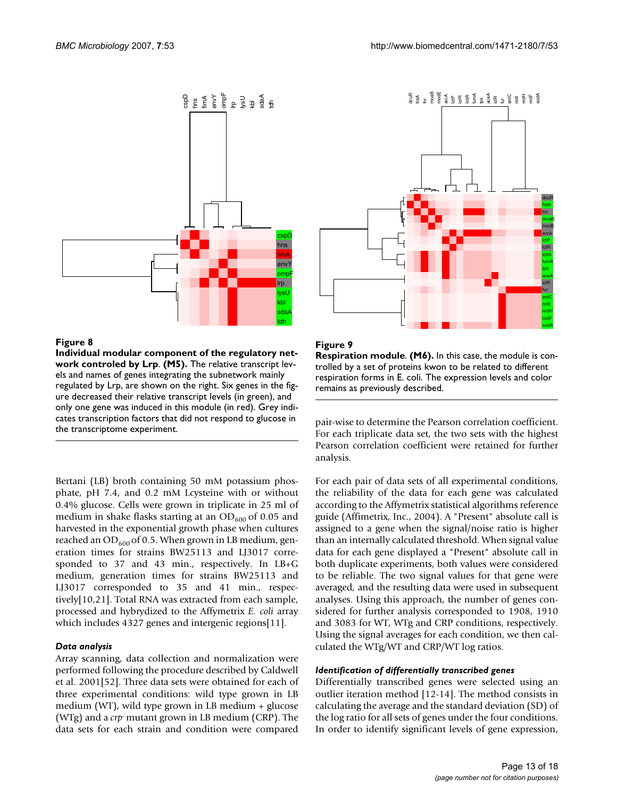

**Individual modular component of the regulatory network controled by Lrp**. **(M5).** The relative transcript levels and names of genes integrating the subnetwork mainly regulated by Lrp, are shown on the right. Six genes in the figure decreased their relative transcript levels (in green), and only one gene was induced in this module (in red). Grey indicates transcription factors that did not respond to glucose in the transcriptome experiment.

Bertani (LB) broth containing 50 mM potassium phosphate, pH 7.4, and 0.2 mM Lcysteine with or without 0.4% glucose. Cells were grown in triplicate in 25 ml of medium in shake flasks starting at an  $OD<sub>600</sub>$  of 0.05 and harvested in the exponential growth phase when cultures reached an  $OD_{600}$  of 0.5. When grown in LB medium, generation times for strains BW25113 and LJ3017 corresponded to 37 and 43 min., respectively. In LB+G medium, generation times for strains BW25113 and LJ3017 corresponded to 35 and 41 min., respectively[10,21]. Total RNA was extracted from each sample, processed and hybrydized to the Affymetrix *E. coli* array which includes 4327 genes and intergenic regions [11].

# *Data analysis*

Array scanning, data collection and normalization were performed following the procedure described by Caldwell et al. 2001[52]. Three data sets were obtained for each of three experimental conditions: wild type grown in LB medium (WT), wild type grown in LB medium + glucose (WTg) and a *crp*- mutant grown in LB medium (CRP). The data sets for each strain and condition were compared



#### **Figure 9**

**Respiration module**. **(M6).** In this case, the module is controlled by a set of proteins kwon to be related to different respiration forms in E. coli. The expression levels and color

pair-wise to determine the Pearson correlation coefficient. For each triplicate data set, the two sets with the highest Pearson correlation coefficient were retained for further analysis.

For each pair of data sets of all experimental conditions, the reliability of the data for each gene was calculated according to the Affymetrix statistical algorithms reference guide (Affimetrix, Inc., 2004). A "Present" absolute call is assigned to a gene when the signal/noise ratio is higher than an internally calculated threshold. When signal value data for each gene displayed a "Present" absolute call in both duplicate experiments, both values were considered to be reliable. The two signal values for that gene were averaged, and the resulting data were used in subsequent analyses. Using this approach, the number of genes considered for further analysis corresponded to 1908, 1910 and 3083 for WT, WTg and CRP conditions, respectively. Using the signal averages for each condition, we then calculated the WTg/WT and CRP/WT log ratios.

# *Identification of differentially transcribed genes*

Differentially transcribed genes were selected using an outlier iteration method [12-14]. The method consists in calculating the average and the standard deviation (SD) of the log ratio for all sets of genes under the four conditions. In order to identify significant levels of gene expression,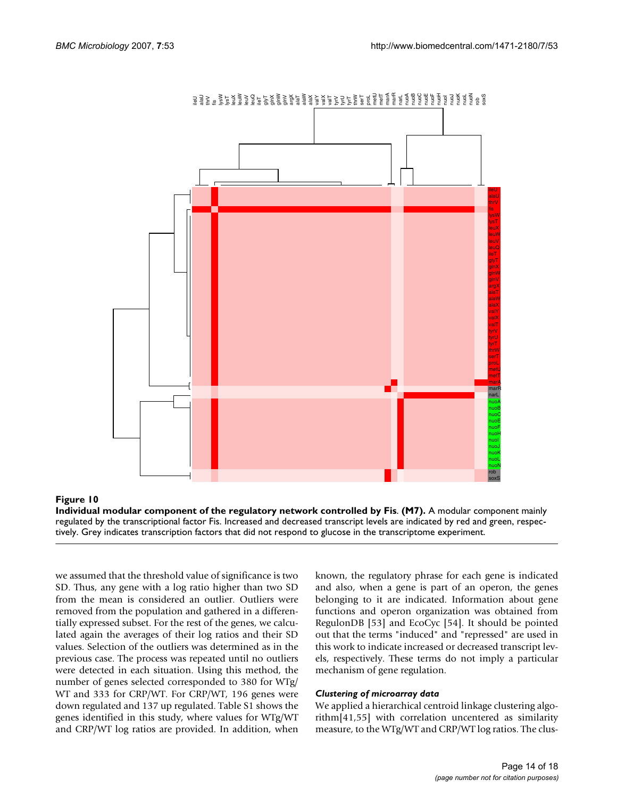

**Individual modular component of the regulatory network controlled by Fis**. **(M7).** A modular component mainly regulated by the transcriptional factor Fis. Increased and decreased transcript levels are indicated by red and green, respec-

we assumed that the threshold value of significance is two SD. Thus, any gene with a log ratio higher than two SD from the mean is considered an outlier. Outliers were removed from the population and gathered in a differentially expressed subset. For the rest of the genes, we calculated again the averages of their log ratios and their SD values. Selection of the outliers was determined as in the previous case. The process was repeated until no outliers were detected in each situation. Using this method, the number of genes selected corresponded to 380 for WTg/ WT and 333 for CRP/WT. For CRP/WT, 196 genes were down regulated and 137 up regulated. Table S1 shows the genes identified in this study, where values for WTg/WT and CRP/WT log ratios are provided. In addition, when known, the regulatory phrase for each gene is indicated and also, when a gene is part of an operon, the genes belonging to it are indicated. Information about gene functions and operon organization was obtained from RegulonDB [53] and EcoCyc [54]. It should be pointed out that the terms "induced" and "repressed" are used in this work to indicate increased or decreased transcript levels, respectively. These terms do not imply a particular mechanism of gene regulation.

#### *Clustering of microarray data*

We applied a hierarchical centroid linkage clustering algorithm[41,55] with correlation uncentered as similarity measure, to the WTg/WT and CRP/WT log ratios. The clus-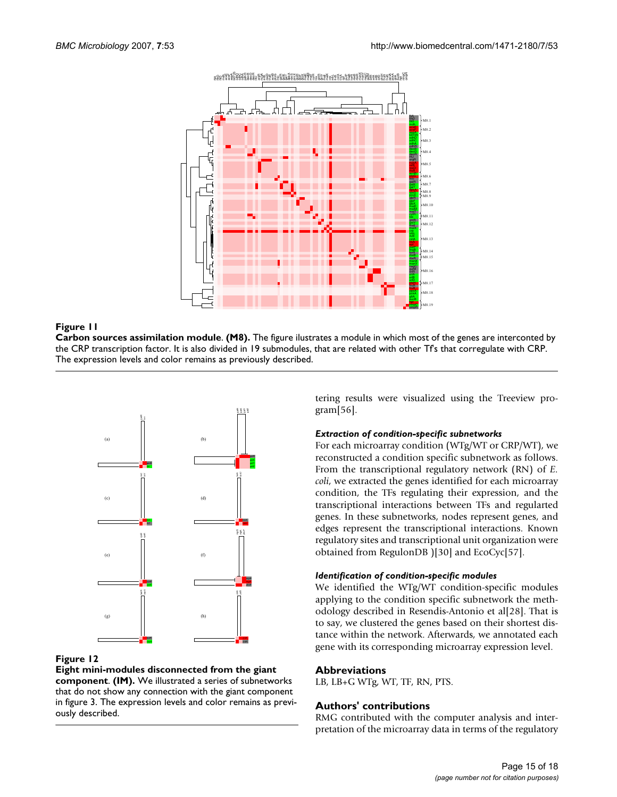

**Carbon sources assimilation module**. **(M8).** The figure ilustrates a module in which most of the genes are interconted by the CRP transcription factor. It is also divided in 19 submodules, that are related with other Tf's that corregulate with CRP.



# Figure 12

**Eight mini-modules disconnected from the giant component**. **(IM).** We illustrated a series of subnetworks that do not show any connection with the giant component in figure 3. The expression levels and color remains as previously described.

tering results were visualized using the Treeview program[56].

# *Extraction of condition-specific subnetworks*

For each microarray condition (WTg/WT or CRP/WT), we reconstructed a condition specific subnetwork as follows. From the transcriptional regulatory network (RN) of *E. coli*, we extracted the genes identified for each microarray condition, the TFs regulating their expression, and the transcriptional interactions between TFs and regularted genes. In these subnetworks, nodes represent genes, and edges represent the transcriptional interactions. Known regulatory sites and transcriptional unit organization were obtained from RegulonDB )[30] and EcoCyc[57].

# *Identification of condition-specific modules*

We identified the WTg/WT condition-specific modules applying to the condition specific subnetwork the methodology described in Resendis-Antonio et al[28]. That is to say, we clustered the genes based on their shortest distance within the network. Afterwards, we annotated each gene with its corresponding microarray expression level.

# **Abbreviations**

LB, LB+G WTg, WT, TF, RN, PTS.

# **Authors' contributions**

RMG contributed with the computer analysis and interpretation of the microarray data in terms of the regulatory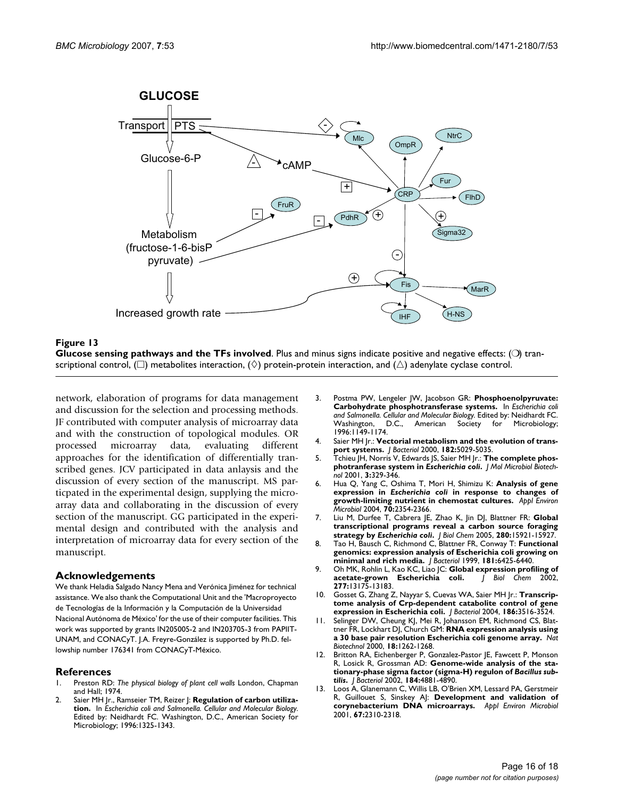

**Glucose sensing pathways and the TFs involved**. Plus and minus signs indicate positive and negative effects: (❍) transcriptional control, ( $\Box$ ) metabolites interaction, ( $\Diamond$ ) protein-protein interaction, and ( $\triangle$ ) adenylate cyclase control.

network, elaboration of programs for data management and discussion for the selection and processing methods. JF contributed with computer analysis of microarray data and with the construction of topological modules. OR processed microarray data, evaluating different approaches for the identification of differentially transcribed genes. JCV participated in data anlaysis and the discussion of every section of the manuscript. MS particpated in the experimental design, supplying the microarray data and collaborating in the discussion of every section of the manuscript. GG participated in the experimental design and contributed with the analysis and interpretation of microarray data for every section of the manuscript.

#### **Acknowledgements**

We thank Heladia Salgado Nancy Mena and Verónica Jiménez for technical assistance. We also thank the Computational Unit and the 'Macroproyecto de Tecnologías de la Información y la Computación de la Universidad Nacional Autónoma de México' for the use of their computer facilities. This work was supported by grants IN205005-2 and IN203705-3 from PAPIIT-UNAM, and CONACyT. J.A. Freyre-González is supported by Ph.D. fellowship number 176341 from CONACyT-México.

#### **References**

- 1. Preston RD: *The physical biology of plant cell walls* London, Chapman and Hall; 1974.
- Saier MH Jr., Ramseier TM, Reizer J: Regulation of carbon utiliza**tion.** In *Escherichia coli and Salmonella. Cellular and Molecular Biology.* Edited by: Neidhardt FC. Washington, D.C., American Society for Microbiology; 1996:1325-1343.
- 3. Postma PW, Lengeler JW, Jacobson GR: **Phosphoenolpyruvate: Carbohydrate phosphotransferase systems.** In *Escherichia coli and Salmonella. Cellular and Molecular Biology.* Edited by: Neidhardt FC. Washington, 1996:1149-1174.
- 4. Saier MH Jr.: **[Vectorial metabolism and the evolution of trans](http://www.ncbi.nlm.nih.gov/entrez/query.fcgi?cmd=Retrieve&db=PubMed&dopt=Abstract&list_uids=10960084)[port systems.](http://www.ncbi.nlm.nih.gov/entrez/query.fcgi?cmd=Retrieve&db=PubMed&dopt=Abstract&list_uids=10960084)** *J Bacteriol* 2000, **182:**5029-5035.
- 5. Tchieu JH, Norris V, Edwards JS, Saier MH Jr.: **The complete phosphotranferase system in** *Escherichia coli***[.](http://www.ncbi.nlm.nih.gov/entrez/query.fcgi?cmd=Retrieve&db=PubMed&dopt=Abstract&list_uids=11361063)** *J Mol Microbiol Biotechnol* 2001, **3:**329-346.
- 6. Hua Q, Yang C, Oshima T, Mori H, Shimizu K: **Analysis of gene expression in** *Escherichia coli* **[in response to changes of](http://www.ncbi.nlm.nih.gov/entrez/query.fcgi?cmd=Retrieve&db=PubMed&dopt=Abstract&list_uids=15066832) [growth-limiting nutrient in chemostat cultures.](http://www.ncbi.nlm.nih.gov/entrez/query.fcgi?cmd=Retrieve&db=PubMed&dopt=Abstract&list_uids=15066832)** *Appl Environ Microbiol* 2004, **70:**2354-2366.
- 7. Liu M, Durfee T, Cabrera JE, Zhao K, Jin DJ, Blattner FR: **Global transcriptional programs reveal a carbon source foraging strategy by** *Escherichia coli***[.](http://www.ncbi.nlm.nih.gov/entrez/query.fcgi?cmd=Retrieve&db=PubMed&dopt=Abstract&list_uids=15705577)** *J Biol Chem* 2005, **280:**15921-15927.
- 8. Tao H, Bausch C, Richmond C, Blattner FR, Conway T: **[Functional](http://www.ncbi.nlm.nih.gov/entrez/query.fcgi?cmd=Retrieve&db=PubMed&dopt=Abstract&list_uids=10515934) [genomics: expression analysis of Escherichia coli growing on](http://www.ncbi.nlm.nih.gov/entrez/query.fcgi?cmd=Retrieve&db=PubMed&dopt=Abstract&list_uids=10515934) [minimal and rich media.](http://www.ncbi.nlm.nih.gov/entrez/query.fcgi?cmd=Retrieve&db=PubMed&dopt=Abstract&list_uids=10515934)** *J Bacteriol* 1999, **181:**6425-6440.
- 9. Oh MK, Rohlin L, Kao KC, Liao JC: **[Global expression profiling of](http://www.ncbi.nlm.nih.gov/entrez/query.fcgi?cmd=Retrieve&db=PubMed&dopt=Abstract&list_uids=11815613)** Biol Chem 2002, **277:**13175-13183.
- 10. Gosset G, Zhang Z, Nayyar S, Cuevas WA, Saier MH Jr.: **[Transcrip](http://www.ncbi.nlm.nih.gov/entrez/query.fcgi?cmd=Retrieve&db=PubMed&dopt=Abstract&list_uids=15150239)[tome analysis of Crp-dependent catabolite control of gene](http://www.ncbi.nlm.nih.gov/entrez/query.fcgi?cmd=Retrieve&db=PubMed&dopt=Abstract&list_uids=15150239) [expression in Escherichia coli.](http://www.ncbi.nlm.nih.gov/entrez/query.fcgi?cmd=Retrieve&db=PubMed&dopt=Abstract&list_uids=15150239)** *J Bacteriol* 2004, **186:**3516-3524.
- Selinger DW, Cheung KJ, Mei R, Johansson EM, Richmond CS, Blattner FR, Lockhart DJ, Church GM: **[RNA expression analysis using](http://www.ncbi.nlm.nih.gov/entrez/query.fcgi?cmd=Retrieve&db=PubMed&dopt=Abstract&list_uids=11101804) [a 30 base pair resolution Escherichia coli genome array.](http://www.ncbi.nlm.nih.gov/entrez/query.fcgi?cmd=Retrieve&db=PubMed&dopt=Abstract&list_uids=11101804)** *Nat Biotechnol* 2000, **18:**1262-1268.
- 12. Britton RA, Eichenberger P, Gonzalez-Pastor JE, Fawcett P, Monson R, Losick R, Grossman AD: **Genome-wide analysis of the stationary-phase sigma factor (sigma-H) regulon of** *Bacillus subtilis***[.](http://www.ncbi.nlm.nih.gov/entrez/query.fcgi?cmd=Retrieve&db=PubMed&dopt=Abstract&list_uids=12169614)** *J Bacteriol* 2002, **184:**4881-4890.
- 13. Loos A, Glanemann C, Willis LB, O'Brien XM, Lessard PA, Gerstmeir R, Guillouet S, Sinskey AJ: **[Development and validation of](http://www.ncbi.nlm.nih.gov/entrez/query.fcgi?cmd=Retrieve&db=PubMed&dopt=Abstract&list_uids=11319117) [corynebacterium DNA microarrays.](http://www.ncbi.nlm.nih.gov/entrez/query.fcgi?cmd=Retrieve&db=PubMed&dopt=Abstract&list_uids=11319117)** *Appl Environ Microbiol* 2001, **67:**2310-2318.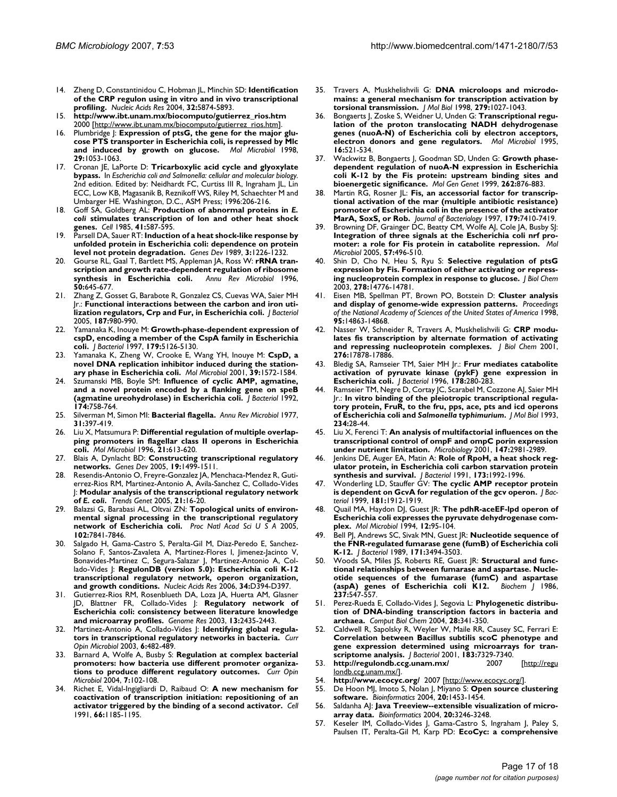- 14. Zheng D, Constantinidou C, Hobman JL, Minchin SD: **[Identification](http://www.ncbi.nlm.nih.gov/entrez/query.fcgi?cmd=Retrieve&db=PubMed&dopt=Abstract&list_uids=15520470) [of the CRP regulon using in vitro and in vivo transcriptional](http://www.ncbi.nlm.nih.gov/entrez/query.fcgi?cmd=Retrieve&db=PubMed&dopt=Abstract&list_uids=15520470) [profiling.](http://www.ncbi.nlm.nih.gov/entrez/query.fcgi?cmd=Retrieve&db=PubMed&dopt=Abstract&list_uids=15520470)** *Nucleic Acids Res* 2004, **32:**5874-5893.
- 15. **http://www.ibt.unam.mx/biocomputo/gutierrez\_rios.htm** 2000 [[http://www.ibt.unam.mx/biocomputo/gutierrez\\_rios.htm](http://www.ibt.unam.mx/biocomputo/gutierrez_rios.htm)].
- 16. Plumbridge J: **[Expression of ptsG, the gene for the major glu](http://www.ncbi.nlm.nih.gov/entrez/query.fcgi?cmd=Retrieve&db=PubMed&dopt=Abstract&list_uids=9767573)[cose PTS transporter in Escherichia coli, is repressed by Mlc](http://www.ncbi.nlm.nih.gov/entrez/query.fcgi?cmd=Retrieve&db=PubMed&dopt=Abstract&list_uids=9767573) [and induced by growth on glucose.](http://www.ncbi.nlm.nih.gov/entrez/query.fcgi?cmd=Retrieve&db=PubMed&dopt=Abstract&list_uids=9767573)** *Mol Microbiol* 1998, **29:**1053-1063.
- 17. Cronan JE, LaPorte D: **Tricarboxylic acid cycle and glyoxylate bypass.** In *Escherichia coli and Salmonella: cellular and molecular biology.* 2nd edition. Edited by: Neidhardt FC, Curtiss III R, Ingraham JL, Lin ECC, Low KB, Magasanik B, Reznikoff WS, Riley M, Schaechter M and Umbarger HE. Washington, D.C., ASM Press; 1996:206-216.
- 18. Goff SA, Goldberg AL: **Production of abnormal proteins in** *E. coli* **[stimulates transcription of lon and other heat shock](http://www.ncbi.nlm.nih.gov/entrez/query.fcgi?cmd=Retrieve&db=PubMed&dopt=Abstract&list_uids=3886165) [genes.](http://www.ncbi.nlm.nih.gov/entrez/query.fcgi?cmd=Retrieve&db=PubMed&dopt=Abstract&list_uids=3886165)** *Cell* 1985, **41:**587-595.
- 19. Parsell DA, Sauer RT: **[Induction of a heat shock-like response by](http://www.ncbi.nlm.nih.gov/entrez/query.fcgi?cmd=Retrieve&db=PubMed&dopt=Abstract&list_uids=2676724) [unfolded protein in Escherichia coli: dependence on protein](http://www.ncbi.nlm.nih.gov/entrez/query.fcgi?cmd=Retrieve&db=PubMed&dopt=Abstract&list_uids=2676724) [level not protein degradation.](http://www.ncbi.nlm.nih.gov/entrez/query.fcgi?cmd=Retrieve&db=PubMed&dopt=Abstract&list_uids=2676724)** *Genes Dev* 1989, **3:**1226-1232.
- 20. Gourse RL, Gaal T, Bartlett MS, Appleman JA, Ross W: **[rRNA tran](http://www.ncbi.nlm.nih.gov/entrez/query.fcgi?cmd=Retrieve&db=PubMed&dopt=Abstract&list_uids=8905094)[scription and growth rate-dependent regulation of ribosome](http://www.ncbi.nlm.nih.gov/entrez/query.fcgi?cmd=Retrieve&db=PubMed&dopt=Abstract&list_uids=8905094)** synthesis in **Escherichia** coli. **50:**645-677.
- 21. Zhang Z, Gosset G, Barabote R, Gonzalez CS, Cuevas WA, Saier MH Jr.: **[Functional interactions between the carbon and iron uti](http://www.ncbi.nlm.nih.gov/entrez/query.fcgi?cmd=Retrieve&db=PubMed&dopt=Abstract&list_uids=15659676)[lization regulators, Crp and Fur, in Escherichia coli.](http://www.ncbi.nlm.nih.gov/entrez/query.fcgi?cmd=Retrieve&db=PubMed&dopt=Abstract&list_uids=15659676)** *J Bacteriol* 2005, **187:**980-990.
- 22. Yamanaka K, Inouye M: **[Growth-phase-dependent expression of](http://www.ncbi.nlm.nih.gov/entrez/query.fcgi?cmd=Retrieve&db=PubMed&dopt=Abstract&list_uids=9260955) [cspD, encoding a member of the CspA family in Escherichia](http://www.ncbi.nlm.nih.gov/entrez/query.fcgi?cmd=Retrieve&db=PubMed&dopt=Abstract&list_uids=9260955) [coli.](http://www.ncbi.nlm.nih.gov/entrez/query.fcgi?cmd=Retrieve&db=PubMed&dopt=Abstract&list_uids=9260955)** *J Bacteriol* 1997, **179:**5126-5130.
- Yamanaka K, Zheng W, Crooke E, Wang YH, Inouye M: [CspD, a](http://www.ncbi.nlm.nih.gov/entrez/query.fcgi?cmd=Retrieve&db=PubMed&dopt=Abstract&list_uids=11260474) [novel DNA replication inhibitor induced during the station](http://www.ncbi.nlm.nih.gov/entrez/query.fcgi?cmd=Retrieve&db=PubMed&dopt=Abstract&list_uids=11260474)**[ary phase in Escherichia coli.](http://www.ncbi.nlm.nih.gov/entrez/query.fcgi?cmd=Retrieve&db=PubMed&dopt=Abstract&list_uids=11260474)** *Mol Microbiol* 2001, **39:**1572-1584.
- 24. Szumanski MB, Boyle SM: **[Influence of cyclic AMP, agmatine,](http://www.ncbi.nlm.nih.gov/entrez/query.fcgi?cmd=Retrieve&db=PubMed&dopt=Abstract&list_uids=1310091) [and a novel protein encoded by a flanking gene on speB](http://www.ncbi.nlm.nih.gov/entrez/query.fcgi?cmd=Retrieve&db=PubMed&dopt=Abstract&list_uids=1310091) [\(agmatine ureohydrolase\) in Escherichia coli.](http://www.ncbi.nlm.nih.gov/entrez/query.fcgi?cmd=Retrieve&db=PubMed&dopt=Abstract&list_uids=1310091)** *J Bacteriol* 1992, **174:**758-764.
- 25. Silverman M, Simon MI: **[Bacterial flagella.](http://www.ncbi.nlm.nih.gov/entrez/query.fcgi?cmd=Retrieve&db=PubMed&dopt=Abstract&list_uids=410356)** *Annu Rev Microbiol* 1977, **31:**397-419.
- 26. Liu X, Matsumura P: **[Differential regulation of multiple overlap](http://www.ncbi.nlm.nih.gov/entrez/query.fcgi?cmd=Retrieve&db=PubMed&dopt=Abstract&list_uids=8866483)[ping promoters in flagellar class II operons in Escherichia](http://www.ncbi.nlm.nih.gov/entrez/query.fcgi?cmd=Retrieve&db=PubMed&dopt=Abstract&list_uids=8866483) [coli.](http://www.ncbi.nlm.nih.gov/entrez/query.fcgi?cmd=Retrieve&db=PubMed&dopt=Abstract&list_uids=8866483)** *Mol Microbiol* 1996, **21:**613-620.
- 27. Blais A, Dynlacht BD: **[Constructing transcriptional regulatory](http://www.ncbi.nlm.nih.gov/entrez/query.fcgi?cmd=Retrieve&db=PubMed&dopt=Abstract&list_uids=15998805) [networks.](http://www.ncbi.nlm.nih.gov/entrez/query.fcgi?cmd=Retrieve&db=PubMed&dopt=Abstract&list_uids=15998805)** *Genes Dev* 2005, **19:**1499-1511.
- 28. Resendis-Antonio O, Freyre-Gonzalez JA, Menchaca-Mendez R, Gutierrez-Rios RM, Martinez-Antonio A, Avila-Sanchez C, Collado-Vides J: **Modular analysis of the transcriptional regulatory network of** *E. coli***[.](http://www.ncbi.nlm.nih.gov/entrez/query.fcgi?cmd=Retrieve&db=PubMed&dopt=Abstract&list_uids=15680508)** *Trends Genet* 2005, **21:**16-20.
- 29. Balazsi G, Barabasi AL, Oltvai ZN: **[Topological units of environ](http://www.ncbi.nlm.nih.gov/entrez/query.fcgi?cmd=Retrieve&db=PubMed&dopt=Abstract&list_uids=15908506)[mental signal processing in the transcriptional regulatory](http://www.ncbi.nlm.nih.gov/entrez/query.fcgi?cmd=Retrieve&db=PubMed&dopt=Abstract&list_uids=15908506) [network of Escherichia coli.](http://www.ncbi.nlm.nih.gov/entrez/query.fcgi?cmd=Retrieve&db=PubMed&dopt=Abstract&list_uids=15908506)** *Proc Natl Acad Sci U S A* 2005, **102:**7841-7846.
- Salgado H, Gama-Castro S, Peralta-Gil M, Diaz-Peredo E, Sanchez-Solano F, Santos-Zavaleta A, Martinez-Flores I, Jimenez-Jacinto V, Bonavides-Martinez C, Segura-Salazar J, Martinez-Antonio A, Collado-Vides J: **[RegulonDB \(version 5.0\): Escherichia coli K-12](http://www.ncbi.nlm.nih.gov/entrez/query.fcgi?cmd=Retrieve&db=PubMed&dopt=Abstract&list_uids=16381895) [transcriptional regulatory network, operon organization,](http://www.ncbi.nlm.nih.gov/entrez/query.fcgi?cmd=Retrieve&db=PubMed&dopt=Abstract&list_uids=16381895) [and growth conditions.](http://www.ncbi.nlm.nih.gov/entrez/query.fcgi?cmd=Retrieve&db=PubMed&dopt=Abstract&list_uids=16381895)** *Nucleic Acids Res* 2006, **34:**D394-D397.
- 31. Gutierrez-Rios RM, Rosenblueth DA, Loza JA, Huerta AM, Glasner JD, Blattner FR, Collado-Vides J: **[Regulatory network of](http://www.ncbi.nlm.nih.gov/entrez/query.fcgi?cmd=Retrieve&db=PubMed&dopt=Abstract&list_uids=14597655) [Escherichia coli: consistency between literature knowledge](http://www.ncbi.nlm.nih.gov/entrez/query.fcgi?cmd=Retrieve&db=PubMed&dopt=Abstract&list_uids=14597655) [and microarray profiles.](http://www.ncbi.nlm.nih.gov/entrez/query.fcgi?cmd=Retrieve&db=PubMed&dopt=Abstract&list_uids=14597655)** *Genome Res* 2003, **13:**2435-2443.
- 32. Martinez-Antonio A, Collado-Vides J: **[Identifying global regula](http://www.ncbi.nlm.nih.gov/entrez/query.fcgi?cmd=Retrieve&db=PubMed&dopt=Abstract&list_uids=14572541)[tors in transcriptional regulatory networks in bacteria.](http://www.ncbi.nlm.nih.gov/entrez/query.fcgi?cmd=Retrieve&db=PubMed&dopt=Abstract&list_uids=14572541)** *Curr Opin Microbiol* 2003, **6:**482-489.
- 33. Barnard A, Wolfe A, Busby S: **[Regulation at complex bacterial](http://www.ncbi.nlm.nih.gov/entrez/query.fcgi?cmd=Retrieve&db=PubMed&dopt=Abstract&list_uids=15063844) [promoters: how bacteria use different promoter organiza](http://www.ncbi.nlm.nih.gov/entrez/query.fcgi?cmd=Retrieve&db=PubMed&dopt=Abstract&list_uids=15063844)[tions to produce different regulatory outcomes.](http://www.ncbi.nlm.nih.gov/entrez/query.fcgi?cmd=Retrieve&db=PubMed&dopt=Abstract&list_uids=15063844)** *Curr Opin Microbiol* 2004, **7:**102-108.
- 34. Richet E, Vidal-Ingigliardi D, Raibaud O: **[A new mechanism for](http://www.ncbi.nlm.nih.gov/entrez/query.fcgi?cmd=Retrieve&db=PubMed&dopt=Abstract&list_uids=1913806) [coactivation of transcription initiation: repositioning of an](http://www.ncbi.nlm.nih.gov/entrez/query.fcgi?cmd=Retrieve&db=PubMed&dopt=Abstract&list_uids=1913806) [activator triggered by the binding of a second activator.](http://www.ncbi.nlm.nih.gov/entrez/query.fcgi?cmd=Retrieve&db=PubMed&dopt=Abstract&list_uids=1913806)** *Cell* 1991, **66:**1185-1195.
- 35. Travers A, Muskhelishvili G: **[DNA microloops and microdo](http://www.ncbi.nlm.nih.gov/entrez/query.fcgi?cmd=Retrieve&db=PubMed&dopt=Abstract&list_uids=9642081)[mains: a general mechanism for transcription activation by](http://www.ncbi.nlm.nih.gov/entrez/query.fcgi?cmd=Retrieve&db=PubMed&dopt=Abstract&list_uids=9642081) [torsional transmission.](http://www.ncbi.nlm.nih.gov/entrez/query.fcgi?cmd=Retrieve&db=PubMed&dopt=Abstract&list_uids=9642081)** *J Mol Biol* 1998, **279:**1027-1043.
- 36. Bongaerts J, Zoske S, Weidner U, Unden G: **[Transcriptional regu](http://www.ncbi.nlm.nih.gov/entrez/query.fcgi?cmd=Retrieve&db=PubMed&dopt=Abstract&list_uids=7565112)[lation of the proton translocating NADH dehydrogenase](http://www.ncbi.nlm.nih.gov/entrez/query.fcgi?cmd=Retrieve&db=PubMed&dopt=Abstract&list_uids=7565112) genes (nuoA-N) of Escherichia coli by electron acceptors, [electron donors and gene regulators.](http://www.ncbi.nlm.nih.gov/entrez/query.fcgi?cmd=Retrieve&db=PubMed&dopt=Abstract&list_uids=7565112)** *Mol Microbiol* 1995, **16:**521-534.
- 37. Wackwitz B, Bongaerts J, Goodman SD, Unden G: **[Growth phase](http://www.ncbi.nlm.nih.gov/entrez/query.fcgi?cmd=Retrieve&db=PubMed&dopt=Abstract&list_uids=10628873)[dependent regulation of nuoA-N expression in Escherichia](http://www.ncbi.nlm.nih.gov/entrez/query.fcgi?cmd=Retrieve&db=PubMed&dopt=Abstract&list_uids=10628873) coli K-12 by the Fis protein: upstream binding sites and [bioenergetic significance.](http://www.ncbi.nlm.nih.gov/entrez/query.fcgi?cmd=Retrieve&db=PubMed&dopt=Abstract&list_uids=10628873)** *Mol Gen Genet* 1999, **262:**876-883.
- 38. Martin RG, Rosner |L: [Fis, an accessorial factor for transcrip](http://www.ncbi.nlm.nih.gov/entrez/query.fcgi?cmd=Retrieve&db=PubMed&dopt=Abstract&list_uids=9393706)**[tional activation of the mar \(multiple antibiotic resistance\)](http://www.ncbi.nlm.nih.gov/entrez/query.fcgi?cmd=Retrieve&db=PubMed&dopt=Abstract&list_uids=9393706) promoter of Escherichia coli in the presence of the activator [MarA, SoxS, or Rob.](http://www.ncbi.nlm.nih.gov/entrez/query.fcgi?cmd=Retrieve&db=PubMed&dopt=Abstract&list_uids=9393706)** *Journal of Bacteriology* 1997, **179:**7410-7419.
- Browning DF, Grainger DC, Beatty CM, Wolfe AJ, Cole JA, Busby SJ: **[Integration of three signals at the Escherichia coli nrf pro](http://www.ncbi.nlm.nih.gov/entrez/query.fcgi?cmd=Retrieve&db=PubMed&dopt=Abstract&list_uids=15978080)[moter: a role for Fis protein in catabolite repression.](http://www.ncbi.nlm.nih.gov/entrez/query.fcgi?cmd=Retrieve&db=PubMed&dopt=Abstract&list_uids=15978080)** *Mol Microbiol* 2005, **57:**496-510.
- 40. Shin D, Cho N, Heu S, Ryu S: **[Selective regulation of ptsG](http://www.ncbi.nlm.nih.gov/entrez/query.fcgi?cmd=Retrieve&db=PubMed&dopt=Abstract&list_uids=12588863) [expression by Fis. Formation of either activating or repress](http://www.ncbi.nlm.nih.gov/entrez/query.fcgi?cmd=Retrieve&db=PubMed&dopt=Abstract&list_uids=12588863)[ing nucleoprotein complex in response to glucose.](http://www.ncbi.nlm.nih.gov/entrez/query.fcgi?cmd=Retrieve&db=PubMed&dopt=Abstract&list_uids=12588863)** *J Biol Chem* 2003, **278:**14776-14781.
- 41. Eisen MB, Spellman PT, Brown PO, Botstein D: **[Cluster analysis](http://www.ncbi.nlm.nih.gov/entrez/query.fcgi?cmd=Retrieve&db=PubMed&dopt=Abstract&list_uids=9843981) [and display of genome-wide expression patterns.](http://www.ncbi.nlm.nih.gov/entrez/query.fcgi?cmd=Retrieve&db=PubMed&dopt=Abstract&list_uids=9843981)** *Proceedings of the National Academy of Sciences of the United States of America* 1998, **95:**14863-14868.
- 42. Nasser W, Schneider R, Travers A, Muskhelishvili G: **[CRP modu](http://www.ncbi.nlm.nih.gov/entrez/query.fcgi?cmd=Retrieve&db=PubMed&dopt=Abstract&list_uids=11279109)[lates fis transcription by alternate formation of activating](http://www.ncbi.nlm.nih.gov/entrez/query.fcgi?cmd=Retrieve&db=PubMed&dopt=Abstract&list_uids=11279109) [and repressing nucleoprotein complexes.](http://www.ncbi.nlm.nih.gov/entrez/query.fcgi?cmd=Retrieve&db=PubMed&dopt=Abstract&list_uids=11279109)** *J Biol Chem* 2001, **276:**17878-17886.
- 43. Bledig SA, Ramseier TM, Saier MH Jr.: **[Frur mediates catabolite](http://www.ncbi.nlm.nih.gov/entrez/query.fcgi?cmd=Retrieve&db=PubMed&dopt=Abstract&list_uids=8550429) [activation of pyruvate kinase \(pykF\) gene expression in](http://www.ncbi.nlm.nih.gov/entrez/query.fcgi?cmd=Retrieve&db=PubMed&dopt=Abstract&list_uids=8550429) [Escherichia coli.](http://www.ncbi.nlm.nih.gov/entrez/query.fcgi?cmd=Retrieve&db=PubMed&dopt=Abstract&list_uids=8550429)** *J Bacteriol* 1996, **178:**280-283.
- Ramseier TM, Negre D, Cortay JC, Scarabel M, Cozzone AJ, Saier MH Jr.: **In vitro binding of the pleiotropic transcriptional regulatory protein, FruR, to the fru, pps, ace, pts and icd operons of Escherichia coli and** *Salmonella typhimurium***[.](http://www.ncbi.nlm.nih.gov/entrez/query.fcgi?cmd=Retrieve&db=PubMed&dopt=Abstract&list_uids=8230205)** *J Mol Biol* 1993, **234:**28-44.
- 45. Liu X, Ferenci T: **[An analysis of multifactorial influences on the](http://www.ncbi.nlm.nih.gov/entrez/query.fcgi?cmd=Retrieve&db=PubMed&dopt=Abstract&list_uids=11700349) [transcriptional control of ompF and ompC porin expression](http://www.ncbi.nlm.nih.gov/entrez/query.fcgi?cmd=Retrieve&db=PubMed&dopt=Abstract&list_uids=11700349) [under nutrient limitation.](http://www.ncbi.nlm.nih.gov/entrez/query.fcgi?cmd=Retrieve&db=PubMed&dopt=Abstract&list_uids=11700349)** *Microbiology* 2001, **147:**2981-2989.
- 46. Jenkins DE, Auger EA, Matin A: **[Role of RpoH, a heat shock reg](http://www.ncbi.nlm.nih.gov/entrez/query.fcgi?cmd=Retrieve&db=PubMed&dopt=Abstract&list_uids=2002001)[ulator protein, in Escherichia coli carbon starvation protein](http://www.ncbi.nlm.nih.gov/entrez/query.fcgi?cmd=Retrieve&db=PubMed&dopt=Abstract&list_uids=2002001) [synthesis and survival.](http://www.ncbi.nlm.nih.gov/entrez/query.fcgi?cmd=Retrieve&db=PubMed&dopt=Abstract&list_uids=2002001)** *J Bacteriol* 1991, **173:**1992-1996.
- 47. Wonderling LD, Stauffer GV: **[The cyclic AMP receptor protein](http://www.ncbi.nlm.nih.gov/entrez/query.fcgi?cmd=Retrieve&db=PubMed&dopt=Abstract&list_uids=10074087) [is dependent on GcvA for regulation of the gcv operon.](http://www.ncbi.nlm.nih.gov/entrez/query.fcgi?cmd=Retrieve&db=PubMed&dopt=Abstract&list_uids=10074087)** *J Bacteriol* 1999, **181:**1912-1919.
- 48. Quail MA, Haydon DJ, Guest JR: **[The pdhR-aceEF-lpd operon of](http://www.ncbi.nlm.nih.gov/entrez/query.fcgi?cmd=Retrieve&db=PubMed&dopt=Abstract&list_uids=8057842) [Escherichia coli expresses the pyruvate dehydrogenase com](http://www.ncbi.nlm.nih.gov/entrez/query.fcgi?cmd=Retrieve&db=PubMed&dopt=Abstract&list_uids=8057842)[plex.](http://www.ncbi.nlm.nih.gov/entrez/query.fcgi?cmd=Retrieve&db=PubMed&dopt=Abstract&list_uids=8057842)** *Mol Microbiol* 1994, **12:**95-104.
- 49. Bell PJ, Andrews SC, Sivak MN, Guest JR: **[Nucleotide sequence of](http://www.ncbi.nlm.nih.gov/entrez/query.fcgi?cmd=Retrieve&db=PubMed&dopt=Abstract&list_uids=2656658) [the FNR-regulated fumarase gene \(fumB\) of Escherichia coli](http://www.ncbi.nlm.nih.gov/entrez/query.fcgi?cmd=Retrieve&db=PubMed&dopt=Abstract&list_uids=2656658) [K-12.](http://www.ncbi.nlm.nih.gov/entrez/query.fcgi?cmd=Retrieve&db=PubMed&dopt=Abstract&list_uids=2656658)** *J Bacteriol* 1989, **171:**3494-3503.
- Woods SA, Miles JS, Roberts RE, Guest JR: **[Structural and func](http://www.ncbi.nlm.nih.gov/entrez/query.fcgi?cmd=Retrieve&db=PubMed&dopt=Abstract&list_uids=3541901)[tional relationships between fumarase and aspartase. Nucle](http://www.ncbi.nlm.nih.gov/entrez/query.fcgi?cmd=Retrieve&db=PubMed&dopt=Abstract&list_uids=3541901)otide sequences of the fumarase (fumC) and aspartase [\(aspA\) genes of Escherichia coli K12.](http://www.ncbi.nlm.nih.gov/entrez/query.fcgi?cmd=Retrieve&db=PubMed&dopt=Abstract&list_uids=3541901)** *Biochem J* 1986, **237:**547-557.
- 51. Perez-Rueda E, Collado-Vides J, Segovia L: **[Phylogenetic distribu](http://www.ncbi.nlm.nih.gov/entrez/query.fcgi?cmd=Retrieve&db=PubMed&dopt=Abstract&list_uids=15556475)[tion of DNA-binding transcription factors in bacteria and](http://www.ncbi.nlm.nih.gov/entrez/query.fcgi?cmd=Retrieve&db=PubMed&dopt=Abstract&list_uids=15556475) [archaea.](http://www.ncbi.nlm.nih.gov/entrez/query.fcgi?cmd=Retrieve&db=PubMed&dopt=Abstract&list_uids=15556475)** *Comput Biol Chem* 2004, **28:**341-350.
- Caldwell R, Sapolsky R, Weyler W, Maile RR, Causey SC, Ferrari E: **[Correlation between Bacillus subtilis scoC phenotype and](http://www.ncbi.nlm.nih.gov/entrez/query.fcgi?cmd=Retrieve&db=PubMed&dopt=Abstract&list_uids=11717292) gene expression determined using microarrays for tran[scriptome analysis.](http://www.ncbi.nlm.nih.gov/entrez/query.fcgi?cmd=Retrieve&db=PubMed&dopt=Abstract&list_uids=11717292)** *J Bacteriol* 2001, **183:**7329-7340.
- 53. **http://regulondb.ccg.unam.mx/** 2007 [\[http://regu](http://regulondb.ccg.unam.mx/) [londb.ccg.unam.mx/\]](http://regulondb.ccg.unam.mx/).
- 54. **http://www.ecocyc.org/** 2007 [\[http://www.ecocyc.org/\]](http://www.ecocyc.org/).
- 55. De Hoon MJ, Imoto S, Nolan J, Miyano S: **[Open source clustering](http://www.ncbi.nlm.nih.gov/entrez/query.fcgi?cmd=Retrieve&db=PubMed&dopt=Abstract&list_uids=14871861) [software.](http://www.ncbi.nlm.nih.gov/entrez/query.fcgi?cmd=Retrieve&db=PubMed&dopt=Abstract&list_uids=14871861)** *Bioinformatics* 2004, **20:**1453-1454.
- 56. Saldanha AJ: **[Java Treeview--extensible visualization of micro](http://www.ncbi.nlm.nih.gov/entrez/query.fcgi?cmd=Retrieve&db=PubMed&dopt=Abstract&list_uids=15180930)[array data.](http://www.ncbi.nlm.nih.gov/entrez/query.fcgi?cmd=Retrieve&db=PubMed&dopt=Abstract&list_uids=15180930)** *Bioinformatics* 2004, **20:**3246-3248.
- 57. Keseler IM, Collado-Vides J, Gama-Castro S, Ingraham J, Paley S, Paulsen IT, Peralta-Gil M, Karp PD: **[EcoCyc: a comprehensive](http://www.ncbi.nlm.nih.gov/entrez/query.fcgi?cmd=Retrieve&db=PubMed&dopt=Abstract&list_uids=15608210)**